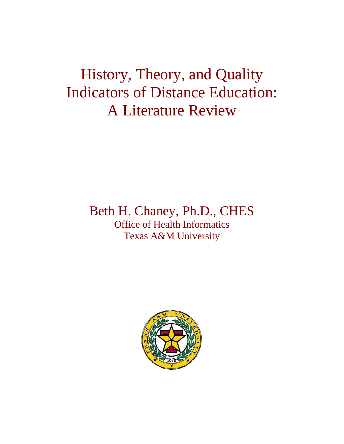# History, Theory, and Quality Indicators of Distance Education: A Literature Review

# Beth H. Chaney, Ph.D., CHES Office of Health Informatics Texas A&M University

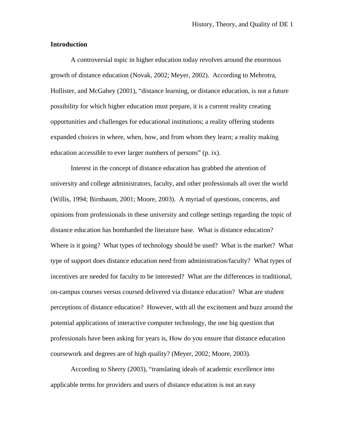### **Introduction**

 A controversial topic in higher education today revolves around the enormous growth of distance education (Novak, 2002; Meyer, 2002). According to Mehrotra, Hollister, and McGahey (2001), "distance learning, or distance education, is not a future possibility for which higher education must prepare, it is a current reality creating opportunities and challenges for educational institutions; a reality offering students expanded choices in where, when, how, and from whom they learn; a reality making education accessible to ever larger numbers of persons" (p. ix).

Interest in the concept of distance education has grabbed the attention of university and college administrators, faculty, and other professionals all over the world (Willis, 1994; Birnbaum, 2001; Moore, 2003). A myriad of questions, concerns, and opinions from professionals in these university and college settings regarding the topic of distance education has bombarded the literature base. What is distance education? Where is it going? What types of technology should be used? What is the market? What type of support does distance education need from administration/faculty? What types of incentives are needed for faculty to be interested? What are the differences in traditional, on-campus courses versus coursed delivered via distance education? What are student perceptions of distance education? However, with all the excitement and buzz around the potential applications of interactive computer technology, the one big question that professionals have been asking for years is, How do you ensure that distance education coursework and degrees are of high quality? (Meyer, 2002; Moore, 2003).

 According to Sherry (2003), "translating ideals of academic excellence into applicable terms for providers and users of distance education is not an easy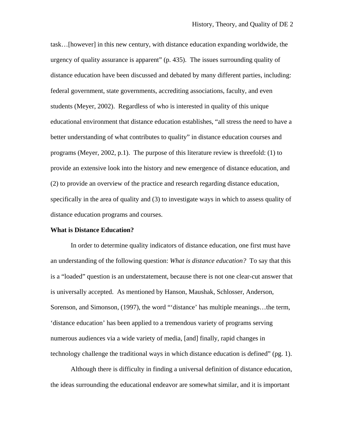task…[however] in this new century, with distance education expanding worldwide, the urgency of quality assurance is apparent" (p. 435). The issues surrounding quality of distance education have been discussed and debated by many different parties, including: federal government, state governments, accrediting associations, faculty, and even students (Meyer, 2002). Regardless of who is interested in quality of this unique educational environment that distance education establishes, "all stress the need to have a better understanding of what contributes to quality" in distance education courses and programs (Meyer, 2002, p.1). The purpose of this literature review is threefold: (1) to provide an extensive look into the history and new emergence of distance education, and (2) to provide an overview of the practice and research regarding distance education, specifically in the area of quality and (3) to investigate ways in which to assess quality of distance education programs and courses.

#### **What is Distance Education?**

In order to determine quality indicators of distance education, one first must have an understanding of the following question: *What is distance education?* To say that this is a "loaded" question is an understatement, because there is not one clear-cut answer that is universally accepted. As mentioned by Hanson, Maushak, Schlosser, Anderson, Sorenson, and Simonson, (1997), the word "'distance' has multiple meanings…the term, 'distance education' has been applied to a tremendous variety of programs serving numerous audiences via a wide variety of media, [and] finally, rapid changes in technology challenge the traditional ways in which distance education is defined" (pg. 1).

 Although there is difficulty in finding a universal definition of distance education, the ideas surrounding the educational endeavor are somewhat similar, and it is important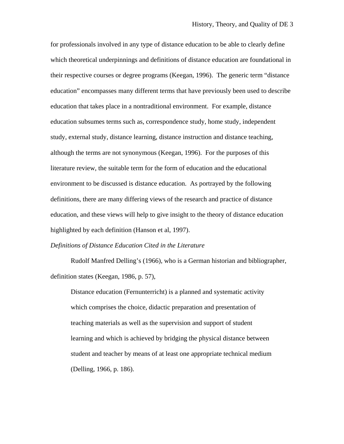for professionals involved in any type of distance education to be able to clearly define which theoretical underpinnings and definitions of distance education are foundational in their respective courses or degree programs (Keegan, 1996). The generic term "distance education" encompasses many different terms that have previously been used to describe education that takes place in a nontraditional environment. For example, distance education subsumes terms such as, correspondence study, home study, independent study, external study, distance learning, distance instruction and distance teaching, although the terms are not synonymous (Keegan, 1996). For the purposes of this literature review, the suitable term for the form of education and the educational environment to be discussed is distance education. As portrayed by the following definitions, there are many differing views of the research and practice of distance education, and these views will help to give insight to the theory of distance education highlighted by each definition (Hanson et al, 1997).

#### *Definitions of Distance Education Cited in the Literature*

Rudolf Manfred Delling's (1966), who is a German historian and bibliographer, definition states (Keegan, 1986, p. 57),

Distance education (Fernunterricht) is a planned and systematic activity which comprises the choice, didactic preparation and presentation of teaching materials as well as the supervision and support of student learning and which is achieved by bridging the physical distance between student and teacher by means of at least one appropriate technical medium (Delling, 1966, p. 186).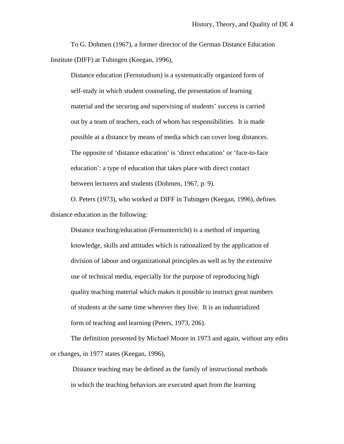To G. Dohmen (1967), a former director of the German Distance Education Institute (DIFF) at Tubingen (Keegan, 1996),

Distance education (Fernstudium) is a systematically organized form of self-study in which student counseling, the presentation of learning material and the securing and supervising of students' success is carried out by a team of teachers, each of whom has responsibilities. It is made possible at a distance by means of media which can cover long distances. The opposite of 'distance education' is 'direct education' or 'face-to-face education': a type of education that takes place with direct contact between lecturers and students (Dohmen, 1967, p. 9).

O. Peters (1973), who worked at DIFF in Tubingen (Keegan, 1996), defines distance education as the following:

Distance teaching/education (Fernunterricht) is a method of imparting knowledge, skills and attitudes which is rationalized by the application of division of labour and organizational principles as well as by the extensive use of technical media, especially for the purpose of reproducing high quality teaching material which makes it possible to instruct great numbers of students at the same time wherever they live. It is an industrialized form of teaching and learning (Peters, 1973, 206).

 The definition presented by Michael Moore in 1973 and again, without any edits or changes, in 1977 states (Keegan, 1996),

 Distance teaching may be defined as the family of instructional methods in which the teaching behaviors are executed apart from the learning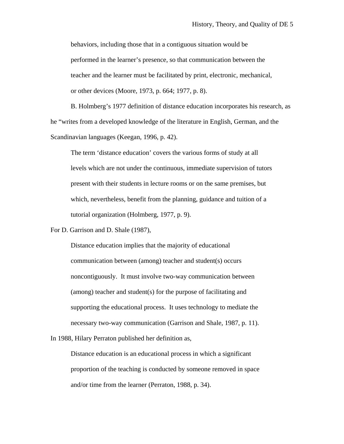behaviors, including those that in a contiguous situation would be performed in the learner's presence, so that communication between the teacher and the learner must be facilitated by print, electronic, mechanical, or other devices (Moore, 1973, p. 664; 1977, p. 8).

 B. Holmberg's 1977 definition of distance education incorporates his research, as he "writes from a developed knowledge of the literature in English, German, and the Scandinavian languages (Keegan, 1996, p. 42).

The term 'distance education' covers the various forms of study at all levels which are not under the continuous, immediate supervision of tutors present with their students in lecture rooms or on the same premises, but which, nevertheless, benefit from the planning, guidance and tuition of a tutorial organization (Holmberg, 1977, p. 9).

For D. Garrison and D. Shale (1987),

Distance education implies that the majority of educational communication between (among) teacher and student(s) occurs noncontiguously. It must involve two-way communication between (among) teacher and student(s) for the purpose of facilitating and supporting the educational process. It uses technology to mediate the necessary two-way communication (Garrison and Shale, 1987, p. 11).

In 1988, Hilary Perraton published her definition as,

Distance education is an educational process in which a significant proportion of the teaching is conducted by someone removed in space and/or time from the learner (Perraton, 1988, p. 34).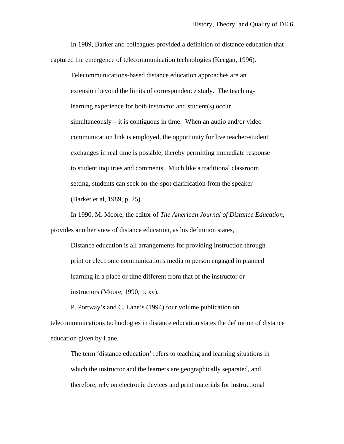In 1989, Barker and colleagues provided a definition of distance education that captured the emergence of telecommunication technologies (Keegan, 1996).

Telecommunications-based distance education approaches are an extension beyond the limits of correspondence study. The teachinglearning experience for both instructor and student(s) occur simultaneously – it is contiguous in time. When an audio and/or video communication link is employed, the opportunity for live teacher-student exchanges in real time is possible, thereby permitting immediate response to student inquiries and comments. Much like a traditional classroom setting, students can seek on-the-spot clarification from the speaker (Barker et al, 1989, p. 25).

In 1990, M. Moore, the editor of *The American Journal of Distance Education*, provides another view of distance education, as his definition states,

Distance education is all arrangements for providing instruction through print or electronic communications media to person engaged in planned learning in a place or time different from that of the instructor or instructors (Moore, 1990, p. xv).

P. Portway's and C. Lane's (1994) four volume publication on telecommunications technologies in distance education states the definition of distance education given by Lane.

The term 'distance education' refers to teaching and learning situations in which the instructor and the learners are geographically separated, and therefore, rely on electronic devices and print materials for instructional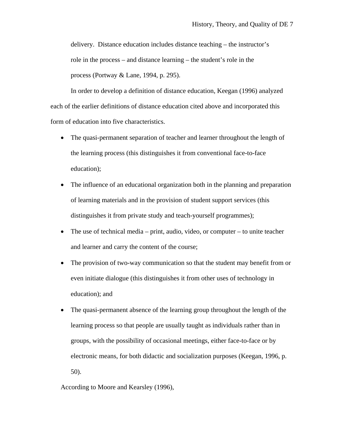delivery. Distance education includes distance teaching – the instructor's role in the process – and distance learning – the student's role in the process (Portway & Lane, 1994, p. 295).

 In order to develop a definition of distance education, Keegan (1996) analyzed each of the earlier definitions of distance education cited above and incorporated this form of education into five characteristics.

- The quasi-permanent separation of teacher and learner throughout the length of the learning process (this distinguishes it from conventional face-to-face education);
- The influence of an educational organization both in the planning and preparation of learning materials and in the provision of student support services (this distinguishes it from private study and teach-yourself programmes);
- The use of technical media print, audio, video, or computer to unite teacher and learner and carry the content of the course;
- The provision of two-way communication so that the student may benefit from or even initiate dialogue (this distinguishes it from other uses of technology in education); and
- The quasi-permanent absence of the learning group throughout the length of the learning process so that people are usually taught as individuals rather than in groups, with the possibility of occasional meetings, either face-to-face or by electronic means, for both didactic and socialization purposes (Keegan, 1996, p. 50).

According to Moore and Kearsley (1996),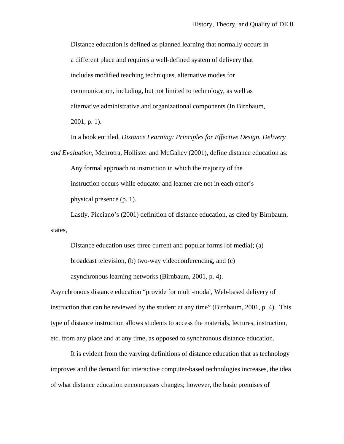Distance education is defined as planned learning that normally occurs in a different place and requires a well-defined system of delivery that includes modified teaching techniques, alternative modes for communication, including, but not limited to technology, as well as alternative administrative and organizational components (In Birnbaum, 2001, p. 1).

In a book entitled, *Distance Learning: Principles for Effective Design, Delivery and Evaluation,* Mehrotra, Hollister and McGahey (2001), define distance education as: Any formal approach to instruction in which the majority of the instruction occurs while educator and learner are not in each other's physical presence (p. 1).

 Lastly, Picciano's (2001) definition of distance education, as cited by Birnbaum, states,

Distance education uses three current and popular forms [of media]; (a) broadcast television, (b) two-way videoconferencing, and (c) asynchronous learning networks (Birnbaum, 2001, p. 4).

Asynchronous distance education "provide for multi-modal, Web-based delivery of instruction that can be reviewed by the student at any time" (Birnbaum, 2001, p. 4). This type of distance instruction allows students to access the materials, lectures, instruction, etc. from any place and at any time, as opposed to synchronous distance education.

It is evident from the varying definitions of distance education that as technology improves and the demand for interactive computer-based technologies increases, the idea of what distance education encompasses changes; however, the basic premises of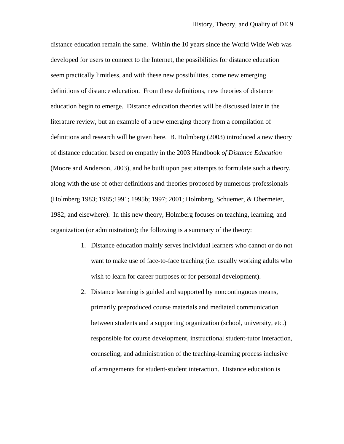distance education remain the same. Within the 10 years since the World Wide Web was developed for users to connect to the Internet, the possibilities for distance education seem practically limitless, and with these new possibilities, come new emerging definitions of distance education. From these definitions, new theories of distance education begin to emerge. Distance education theories will be discussed later in the literature review, but an example of a new emerging theory from a compilation of definitions and research will be given here. B. Holmberg (2003) introduced a new theory of distance education based on empathy in the 2003 Handbook *of Distance Education* (Moore and Anderson, 2003), and he built upon past attempts to formulate such a theory, along with the use of other definitions and theories proposed by numerous professionals (Holmberg 1983; 1985;1991; 1995b; 1997; 2001; Holmberg, Schuemer, & Obermeier, 1982; and elsewhere). In this new theory, Holmberg focuses on teaching, learning, and organization (or administration); the following is a summary of the theory:

- 1. Distance education mainly serves individual learners who cannot or do not want to make use of face-to-face teaching (i.e. usually working adults who wish to learn for career purposes or for personal development).
- 2. Distance learning is guided and supported by noncontinguous means, primarily preproduced course materials and mediated communication between students and a supporting organization (school, university, etc.) responsible for course development, instructional student-tutor interaction, counseling, and administration of the teaching-learning process inclusive of arrangements for student-student interaction. Distance education is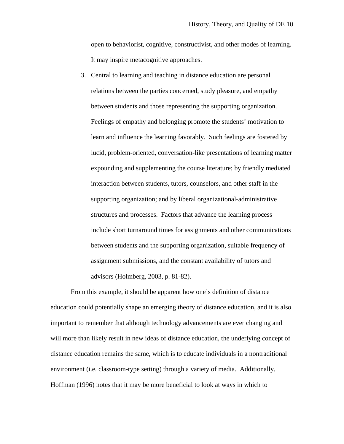open to behaviorist, cognitive, constructivist, and other modes of learning. It may inspire metacognitive approaches.

3. Central to learning and teaching in distance education are personal relations between the parties concerned, study pleasure, and empathy between students and those representing the supporting organization. Feelings of empathy and belonging promote the students' motivation to learn and influence the learning favorably. Such feelings are fostered by lucid, problem-oriented, conversation-like presentations of learning matter expounding and supplementing the course literature; by friendly mediated interaction between students, tutors, counselors, and other staff in the supporting organization; and by liberal organizational-administrative structures and processes. Factors that advance the learning process include short turnaround times for assignments and other communications between students and the supporting organization, suitable frequency of assignment submissions, and the constant availability of tutors and advisors (Holmberg, 2003, p. 81-82).

From this example, it should be apparent how one's definition of distance education could potentially shape an emerging theory of distance education, and it is also important to remember that although technology advancements are ever changing and will more than likely result in new ideas of distance education, the underlying concept of distance education remains the same, which is to educate individuals in a nontraditional environment (i.e. classroom-type setting) through a variety of media. Additionally, Hoffman (1996) notes that it may be more beneficial to look at ways in which to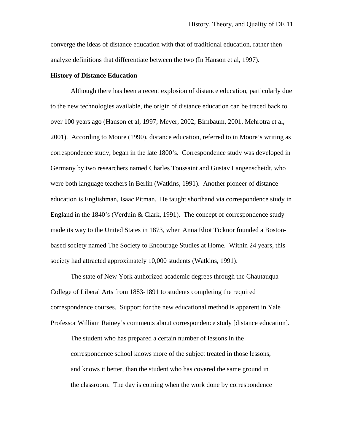converge the ideas of distance education with that of traditional education, rather then analyze definitions that differentiate between the two (In Hanson et al, 1997).

#### **History of Distance Education**

 Although there has been a recent explosion of distance education, particularly due to the new technologies available, the origin of distance education can be traced back to over 100 years ago (Hanson et al, 1997; Meyer, 2002; Birnbaum, 2001, Mehrotra et al, 2001). According to Moore (1990), distance education, referred to in Moore's writing as correspondence study, began in the late 1800's. Correspondence study was developed in Germany by two researchers named Charles Toussaint and Gustav Langenscheidt, who were both language teachers in Berlin (Watkins, 1991). Another pioneer of distance education is Englishman, Isaac Pitman. He taught shorthand via correspondence study in England in the 1840's (Verduin & Clark, 1991). The concept of correspondence study made its way to the United States in 1873, when Anna Eliot Ticknor founded a Bostonbased society named The Society to Encourage Studies at Home. Within 24 years, this society had attracted approximately 10,000 students (Watkins, 1991).

 The state of New York authorized academic degrees through the Chautauqua College of Liberal Arts from 1883-1891 to students completing the required correspondence courses. Support for the new educational method is apparent in Yale Professor William Rainey's comments about correspondence study [distance education].

The student who has prepared a certain number of lessons in the correspondence school knows more of the subject treated in those lessons, and knows it better, than the student who has covered the same ground in the classroom. The day is coming when the work done by correspondence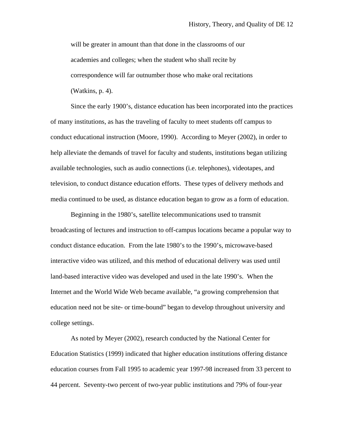will be greater in amount than that done in the classrooms of our academies and colleges; when the student who shall recite by correspondence will far outnumber those who make oral recitations (Watkins, p. 4).

Since the early 1900's, distance education has been incorporated into the practices of many institutions, as has the traveling of faculty to meet students off campus to conduct educational instruction (Moore, 1990). According to Meyer (2002), in order to help alleviate the demands of travel for faculty and students, institutions began utilizing available technologies, such as audio connections (i.e. telephones), videotapes, and television, to conduct distance education efforts. These types of delivery methods and media continued to be used, as distance education began to grow as a form of education.

Beginning in the 1980's, satellite telecommunications used to transmit broadcasting of lectures and instruction to off-campus locations became a popular way to conduct distance education. From the late 1980's to the 1990's, microwave-based interactive video was utilized, and this method of educational delivery was used until land-based interactive video was developed and used in the late 1990's. When the Internet and the World Wide Web became available, "a growing comprehension that education need not be site- or time-bound" began to develop throughout university and college settings.

As noted by Meyer (2002), research conducted by the National Center for Education Statistics (1999) indicated that higher education institutions offering distance education courses from Fall 1995 to academic year 1997-98 increased from 33 percent to 44 percent. Seventy-two percent of two-year public institutions and 79% of four-year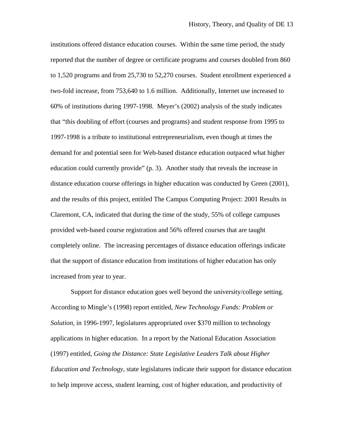institutions offered distance education courses. Within the same time period, the study reported that the number of degree or certificate programs and courses doubled from 860 to 1,520 programs and from 25,730 to 52,270 courses. Student enrollment experienced a two-fold increase, from 753,640 to 1.6 million. Additionally, Internet use increased to 60% of institutions during 1997-1998. Meyer's (2002) analysis of the study indicates that "this doubling of effort (courses and programs) and student response from 1995 to 1997-1998 is a tribute to institutional entrepreneurialism, even though at times the demand for and potential seen for Web-based distance education outpaced what higher education could currently provide" (p. 3). Another study that reveals the increase in distance education course offerings in higher education was conducted by Green (2001), and the results of this project, entitled The Campus Computing Project: 2001 Results in Claremont, CA, indicated that during the time of the study, 55% of college campuses provided web-based course registration and 56% offered courses that are taught completely online. The increasing percentages of distance education offerings indicate that the support of distance education from institutions of higher education has only increased from year to year.

Support for distance education goes well beyond the university/college setting. According to Mingle's (1998) report entitled, *New Technology Funds: Problem or Solution*, in 1996-1997, legislatures appropriated over \$370 million to technology applications in higher education. In a report by the National Education Association (1997) entitled, *Going the Distance: State Legislative Leaders Talk about Higher Education and Technology*, state legislatures indicate their support for distance education to help improve access, student learning, cost of higher education, and productivity of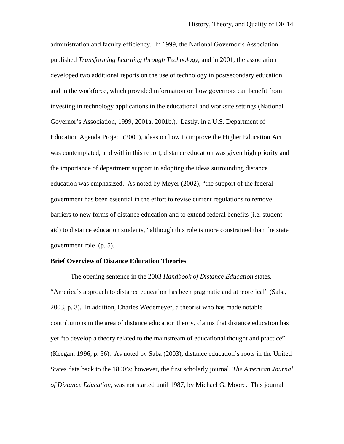administration and faculty efficiency. In 1999, the National Governor's Association published *Transforming Learning through Technology*, and in 2001, the association developed two additional reports on the use of technology in postsecondary education and in the workforce, which provided information on how governors can benefit from investing in technology applications in the educational and worksite settings (National Governor's Association, 1999, 2001a, 2001b.). Lastly, in a U.S. Department of Education Agenda Project (2000), ideas on how to improve the Higher Education Act was contemplated, and within this report, distance education was given high priority and the importance of department support in adopting the ideas surrounding distance education was emphasized. As noted by Meyer (2002), "the support of the federal government has been essential in the effort to revise current regulations to remove barriers to new forms of distance education and to extend federal benefits (i.e. student aid) to distance education students," although this role is more constrained than the state government role (p. 5).

#### **Brief Overview of Distance Education Theories**

 The opening sentence in the 2003 *Handbook of Distance Education* states, "America's approach to distance education has been pragmatic and atheoretical" (Saba, 2003, p. 3). In addition, Charles Wedemeyer, a theorist who has made notable contributions in the area of distance education theory, claims that distance education has yet "to develop a theory related to the mainstream of educational thought and practice" (Keegan, 1996, p. 56). As noted by Saba (2003), distance education's roots in the United States date back to the 1800's; however, the first scholarly journal, *The American Journal of Distance Education*, was not started until 1987, by Michael G. Moore. This journal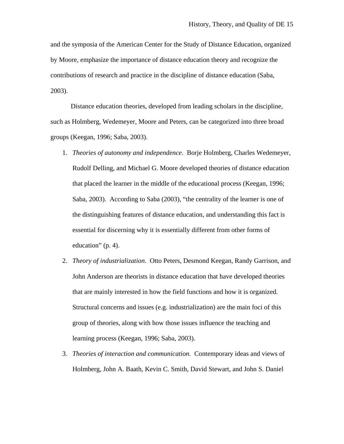and the symposia of the American Center for the Study of Distance Education, organized by Moore, emphasize the importance of distance education theory and recognize the contributions of research and practice in the discipline of distance education (Saba, 2003).

 Distance education theories, developed from leading scholars in the discipline, such as Holmberg, Wedemeyer, Moore and Peters, can be categorized into three broad groups (Keegan, 1996; Saba, 2003).

- 1. *Theories of autonomy and independence*. Borje Holmberg, Charles Wedemeyer, Rudolf Delling, and Michael G. Moore developed theories of distance education that placed the learner in the middle of the educational process (Keegan, 1996; Saba, 2003). According to Saba (2003), "the centrality of the learner is one of the distinguishing features of distance education, and understanding this fact is essential for discerning why it is essentially different from other forms of education" (p. 4).
- 2. *Theory of industrialization*. Otto Peters, Desmond Keegan, Randy Garrison, and John Anderson are theorists in distance education that have developed theories that are mainly interested in how the field functions and how it is organized. Structural concerns and issues (e.g. industrialization) are the main foci of this group of theories, along with how those issues influence the teaching and learning process (Keegan, 1996; Saba, 2003).
- 3. *Theories of interaction and communication.* Contemporary ideas and views of Holmberg, John A. Baath, Kevin C. Smith, David Stewart, and John S. Daniel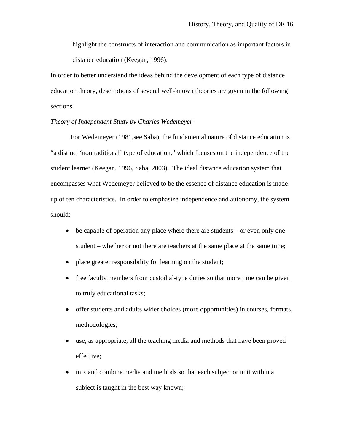highlight the constructs of interaction and communication as important factors in distance education (Keegan, 1996).

In order to better understand the ideas behind the development of each type of distance education theory, descriptions of several well-known theories are given in the following sections.

#### *Theory of Independent Study by Charles Wedemeyer*

 For Wedemeyer (1981,see Saba), the fundamental nature of distance education is "a distinct 'nontraditional' type of education," which focuses on the independence of the student learner (Keegan, 1996, Saba, 2003). The ideal distance education system that encompasses what Wedemeyer believed to be the essence of distance education is made up of ten characteristics. In order to emphasize independence and autonomy, the system should:

- be capable of operation any place where there are students or even only one student – whether or not there are teachers at the same place at the same time;
- place greater responsibility for learning on the student;
- free faculty members from custodial-type duties so that more time can be given to truly educational tasks;
- offer students and adults wider choices (more opportunities) in courses, formats, methodologies;
- use, as appropriate, all the teaching media and methods that have been proved effective;
- mix and combine media and methods so that each subject or unit within a subject is taught in the best way known;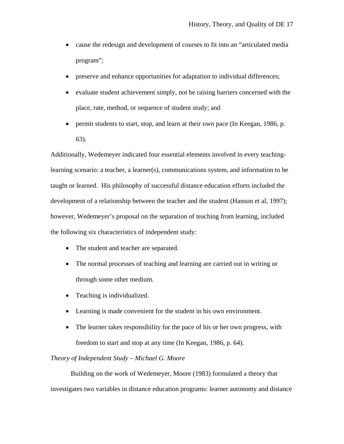- cause the redesign and development of courses to fit into an "articulated media program";
- preserve and enhance opportunities for adaptation to individual differences;
- evaluate student achievement simply, not be raising barriers concerned with the place, rate, method, or sequence of student study; and
- permit students to start, stop, and learn at their own pace (In Keegan, 1986, p. 63).

Additionally, Wedemeyer indicated four essential elements involved in every teachinglearning scenario: a teacher, a learner(s), communications system, and information to be taught or learned. His philosophy of successful distance education efforts included the development of a relationship between the teacher and the student (Hanson et al, 1997); however, Wedemeyer's proposal on the separation of teaching from learning, included the following six characteristics of independent study:

- The student and teacher are separated.
- The normal processes of teaching and learning are carried out in writing or through some other medium.
- Teaching is individualized.
- Learning is made convenient for the student in his own environment.
- The learner takes responsibility for the pace of his or her own progress, with freedom to start and stop at any time (In Keegan, 1986, p. 64).

### *Theory of Independent Study – Michael G. Moore*

 Building on the work of Wedemeyer, Moore (1983) formulated a theory that investigates two variables in distance education programs: learner autonomy and distance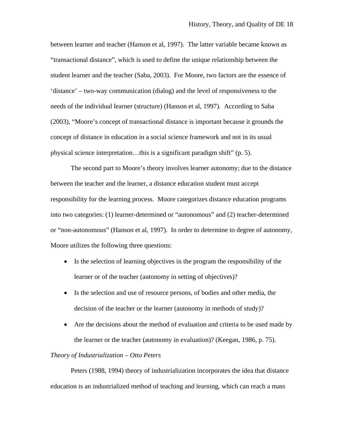between learner and teacher (Hanson et al, 1997). The latter variable became known as "transactional distance", which is used to define the unique relationship between the student learner and the teacher (Saba, 2003). For Moore, two factors are the essence of 'distance' – two-way communication (dialog) and the level of responsiveness to the needs of the individual learner (structure) (Hanson et al, 1997). According to Saba (2003), "Moore's concept of transactional distance is important because it grounds the concept of distance in education in a social science framework and not in its usual physical science interpretation…this is a significant paradigm shift" (p. 5).

 The second part to Moore's theory involves learner autonomy; due to the distance between the teacher and the learner, a distance education student must accept responsibility for the learning process. Moore categorizes distance education programs into two categories: (1) learner-determined or "autonomous" and (2) teacher-determined or "non-autonomous" (Hanson et al, 1997). In order to determine to degree of autonomy, Moore utilizes the following three questions:

- Is the selection of learning objectives in the program the responsibility of the learner or of the teacher (autonomy in setting of objectives)?
- Is the selection and use of resource persons, of bodies and other media, the decision of the teacher or the learner (autonomy in methods of study)?
- Are the decisions about the method of evaluation and criteria to be used made by the learner or the teacher (autonomy in evaluation)? (Keegan, 1986, p. 75).

## *Theory of Industrialization – Otto Peters*

 Peters (1988, 1994) theory of industrialization incorporates the idea that distance education is an industrialized method of teaching and learning, which can reach a mass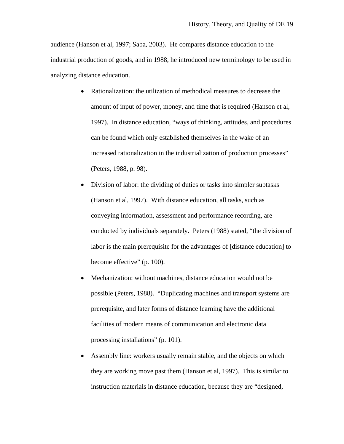audience (Hanson et al, 1997; Saba, 2003). He compares distance education to the industrial production of goods, and in 1988, he introduced new terminology to be used in analyzing distance education.

- Rationalization: the utilization of methodical measures to decrease the amount of input of power, money, and time that is required (Hanson et al, 1997). In distance education, "ways of thinking, attitudes, and procedures can be found which only established themselves in the wake of an increased rationalization in the industrialization of production processes" (Peters, 1988, p. 98).
- Division of labor: the dividing of duties or tasks into simpler subtasks (Hanson et al, 1997). With distance education, all tasks, such as conveying information, assessment and performance recording, are conducted by individuals separately. Peters (1988) stated, "the division of labor is the main prerequisite for the advantages of [distance education] to become effective" (p. 100).
- Mechanization: without machines, distance education would not be possible (Peters, 1988). "Duplicating machines and transport systems are prerequisite, and later forms of distance learning have the additional facilities of modern means of communication and electronic data processing installations" (p. 101).
- Assembly line: workers usually remain stable, and the objects on which they are working move past them (Hanson et al, 1997). This is similar to instruction materials in distance education, because they are "designed,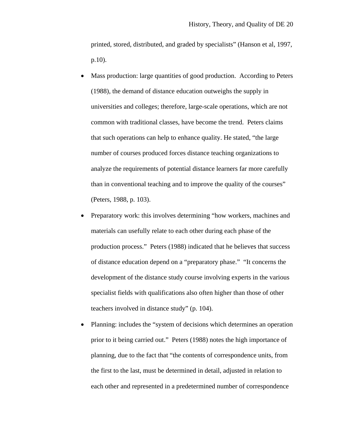printed, stored, distributed, and graded by specialists" (Hanson et al, 1997, p.10).

- Mass production: large quantities of good production. According to Peters (1988), the demand of distance education outweighs the supply in universities and colleges; therefore, large-scale operations, which are not common with traditional classes, have become the trend. Peters claims that such operations can help to enhance quality. He stated, "the large number of courses produced forces distance teaching organizations to analyze the requirements of potential distance learners far more carefully than in conventional teaching and to improve the quality of the courses" (Peters, 1988, p. 103).
- Preparatory work: this involves determining "how workers, machines and materials can usefully relate to each other during each phase of the production process." Peters (1988) indicated that he believes that success of distance education depend on a "preparatory phase." "It concerns the development of the distance study course involving experts in the various specialist fields with qualifications also often higher than those of other teachers involved in distance study" (p. 104).
- Planning: includes the "system of decisions which determines an operation prior to it being carried out." Peters (1988) notes the high importance of planning, due to the fact that "the contents of correspondence units, from the first to the last, must be determined in detail, adjusted in relation to each other and represented in a predetermined number of correspondence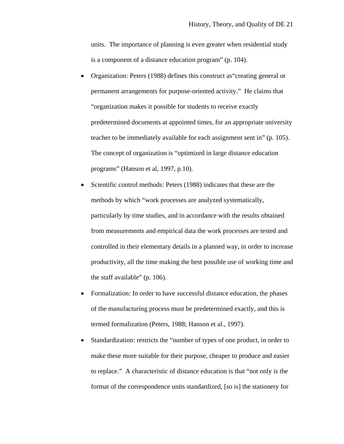units. The importance of planning is even greater when residential study is a component of a distance education program" (p. 104).

- Organization: Peters (1988) defines this construct as"creating general or permanent arrangements for purpose-oriented activity." He claims that "organization makes it possible for students to receive exactly predetermined documents at appointed times, for an appropriate university teacher to be immediately available for each assignment sent in" (p. 105). The concept of organization is "optimized in large distance education programs" (Hanson et al, 1997, p.10).
- Scientific control methods: Peters (1988) indicates that these are the methods by which "work processes are analyzed systematically, particularly by time studies, and in accordance with the results obtained from measurements and empirical data the work processes are tested and controlled in their elementary details in a planned way, in order to increase productivity, all the time making the best possible use of working time and the staff available" (p. 106).
- Formalization: In order to have successful distance education, the phases of the manufacturing process must be predetermined exactly, and this is termed formalization (Peters, 1988; Hanson et al., 1997).
- Standardization: restricts the "number of types of one product, in order to make these more suitable for their purpose, cheaper to produce and easier to replace." A characteristic of distance education is that "not only is the format of the correspondence units standardized, [so is] the stationery for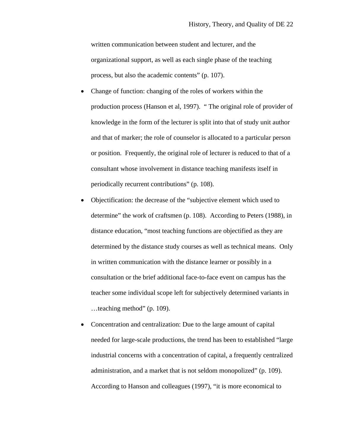written communication between student and lecturer, and the organizational support, as well as each single phase of the teaching process, but also the academic contents" (p. 107).

- Change of function: changing of the roles of workers within the production process (Hanson et al, 1997). " The original role of provider of knowledge in the form of the lecturer is split into that of study unit author and that of marker; the role of counselor is allocated to a particular person or position. Frequently, the original role of lecturer is reduced to that of a consultant whose involvement in distance teaching manifests itself in periodically recurrent contributions" (p. 108).
- Objectification: the decrease of the "subjective element which used to determine" the work of craftsmen (p. 108). According to Peters (1988), in distance education, "most teaching functions are objectified as they are determined by the distance study courses as well as technical means. Only in written communication with the distance learner or possibly in a consultation or the brief additional face-to-face event on campus has the teacher some individual scope left for subjectively determined variants in …teaching method" (p. 109).
- Concentration and centralization: Due to the large amount of capital needed for large-scale productions, the trend has been to established "large industrial concerns with a concentration of capital, a frequently centralized administration, and a market that is not seldom monopolized" (p. 109). According to Hanson and colleagues (1997), "it is more economical to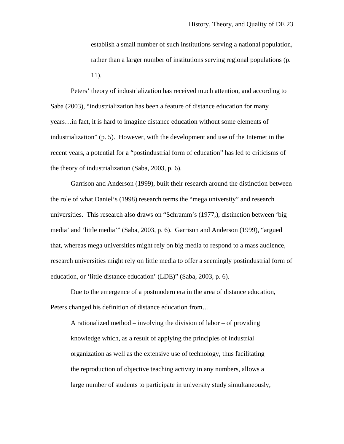establish a small number of such institutions serving a national population, rather than a larger number of institutions serving regional populations (p. 11).

Peters' theory of industrialization has received much attention, and according to Saba (2003), "industrialization has been a feature of distance education for many years…in fact, it is hard to imagine distance education without some elements of industrialization" (p. 5). However, with the development and use of the Internet in the recent years, a potential for a "postindustrial form of education" has led to criticisms of the theory of industrialization (Saba, 2003, p. 6).

Garrison and Anderson (1999), built their research around the distinction between the role of what Daniel's (1998) research terms the "mega university" and research universities. This research also draws on "Schramm's (1977,), distinction between 'big media' and 'little media'" (Saba, 2003, p. 6). Garrison and Anderson (1999), "argued that, whereas mega universities might rely on big media to respond to a mass audience, research universities might rely on little media to offer a seemingly postindustrial form of education, or 'little distance education' (LDE)" (Saba, 2003, p. 6).

 Due to the emergence of a postmodern era in the area of distance education, Peters changed his definition of distance education from…

A rationalized method – involving the division of labor – of providing knowledge which, as a result of applying the principles of industrial organization as well as the extensive use of technology, thus facilitating the reproduction of objective teaching activity in any numbers, allows a large number of students to participate in university study simultaneously,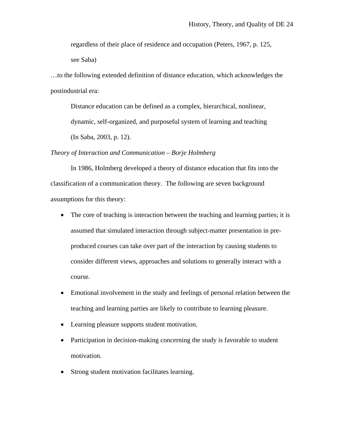regardless of their place of residence and occupation (Peters, 1967, p. 125,

see Saba)

…to the following extended definition of distance education, which acknowledges the postindustrial era:

Distance education can be defined as a complex, hierarchical, nonlinear,

dynamic, self-organized, and purposeful system of learning and teaching

(In Saba, 2003, p. 12).

#### *Theory of Interaction and Communication – Borje Holmberg*

 In 1986, Holmberg developed a theory of distance education that fits into the classification of a communication theory. The following are seven background assumptions for this theory:

- The core of teaching is interaction between the teaching and learning parties; it is assumed that simulated interaction through subject-matter presentation in preproduced courses can take over part of the interaction by causing students to consider different views, approaches and solutions to generally interact with a course.
- Emotional involvement in the study and feelings of personal relation between the teaching and learning parties are likely to contribute to learning pleasure.
- Learning pleasure supports student motivation.
- Participation in decision-making concerning the study is favorable to student motivation.
- Strong student motivation facilitates learning.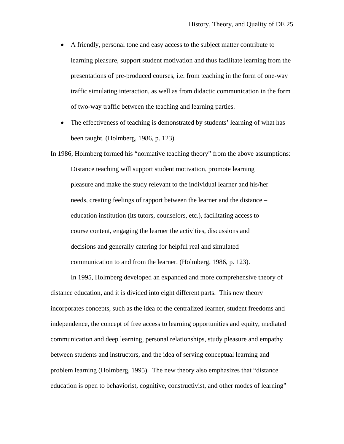- A friendly, personal tone and easy access to the subject matter contribute to learning pleasure, support student motivation and thus facilitate learning from the presentations of pre-produced courses, i.e. from teaching in the form of one-way traffic simulating interaction, as well as from didactic communication in the form of two-way traffic between the teaching and learning parties.
- The effectiveness of teaching is demonstrated by students' learning of what has been taught. (Holmberg, 1986, p. 123).

In 1986, Holmberg formed his "normative teaching theory" from the above assumptions: Distance teaching will support student motivation, promote learning pleasure and make the study relevant to the individual learner and his/her needs, creating feelings of rapport between the learner and the distance – education institution (its tutors, counselors, etc.), facilitating access to course content, engaging the learner the activities, discussions and decisions and generally catering for helpful real and simulated communication to and from the learner. (Holmberg, 1986, p. 123).

In 1995, Holmberg developed an expanded and more comprehensive theory of distance education, and it is divided into eight different parts. This new theory incorporates concepts, such as the idea of the centralized learner, student freedoms and independence, the concept of free access to learning opportunities and equity, mediated communication and deep learning, personal relationships, study pleasure and empathy between students and instructors, and the idea of serving conceptual learning and problem learning (Holmberg, 1995). The new theory also emphasizes that "distance education is open to behaviorist, cognitive, constructivist, and other modes of learning"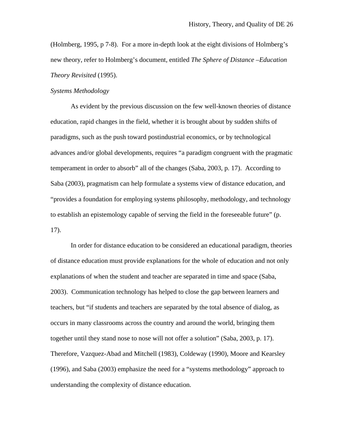(Holmberg, 1995, p 7-8). For a more in-depth look at the eight divisions of Holmberg's new theory, refer to Holmberg's document, entitled *The Sphere of Distance –Education Theory Revisited* (1995).

#### *Systems Methodology*

 As evident by the previous discussion on the few well-known theories of distance education, rapid changes in the field, whether it is brought about by sudden shifts of paradigms, such as the push toward postindustrial economics, or by technological advances and/or global developments, requires "a paradigm congruent with the pragmatic temperament in order to absorb" all of the changes (Saba, 2003, p. 17). According to Saba (2003), pragmatism can help formulate a systems view of distance education, and "provides a foundation for employing systems philosophy, methodology, and technology to establish an epistemology capable of serving the field in the foreseeable future" (p. 17).

 In order for distance education to be considered an educational paradigm, theories of distance education must provide explanations for the whole of education and not only explanations of when the student and teacher are separated in time and space (Saba, 2003). Communication technology has helped to close the gap between learners and teachers, but "if students and teachers are separated by the total absence of dialog, as occurs in many classrooms across the country and around the world, bringing them together until they stand nose to nose will not offer a solution" (Saba, 2003, p. 17). Therefore, Vazquez-Abad and Mitchell (1983), Coldeway (1990), Moore and Kearsley (1996), and Saba (2003) emphasize the need for a "systems methodology" approach to understanding the complexity of distance education.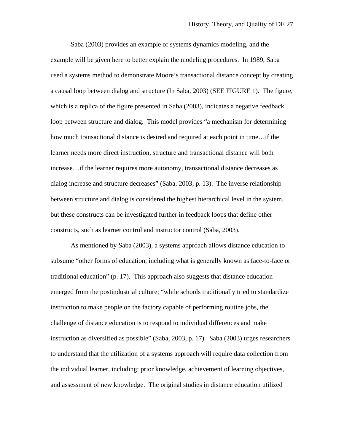Saba (2003) provides an example of systems dynamics modeling, and the example will be given here to better explain the modeling procedures. In 1989, Saba used a systems method to demonstrate Moore's transactional distance concept by creating a causal loop between dialog and structure (In Saba, 2003) (SEE FIGURE 1). The figure, which is a replica of the figure presented in Saba (2003), indicates a negative feedback loop between structure and dialog. This model provides "a mechanism for determining how much transactional distance is desired and required at each point in time…if the learner needs more direct instruction, structure and transactional distance will both increase…if the learner requires more autonomy, transactional distance decreases as dialog increase and structure decreases" (Saba, 2003, p. 13). The inverse relationship between structure and dialog is considered the highest hierarchical level in the system, but these constructs can be investigated further in feedback loops that define other constructs, such as learner control and instructor control (Saba, 2003).

 As mentioned by Saba (2003), a systems approach allows distance education to subsume "other forms of education, including what is generally known as face-to-face or traditional education" (p. 17). This approach also suggests that distance education emerged from the postindustrial culture; "while schools traditionally tried to standardize instruction to make people on the factory capable of performing routine jobs, the challenge of distance education is to respond to individual differences and make instruction as diversified as possible" (Saba, 2003, p. 17). Saba (2003) urges researchers to understand that the utilization of a systems approach will require data collection from the individual learner, including: prior knowledge, achievement of learning objectives, and assessment of new knowledge. The original studies in distance education utilized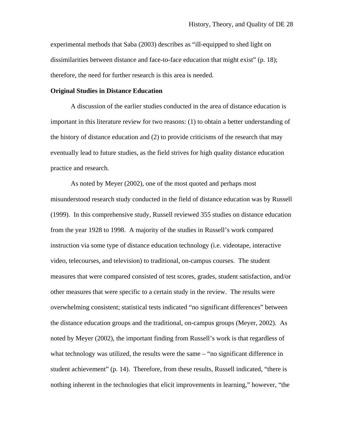experimental methods that Saba (2003) describes as "ill-equipped to shed light on dissimilarities between distance and face-to-face education that might exist" (p. 18); therefore, the need for further research is this area is needed.

### **Original Studies in Distance Education**

A discussion of the earlier studies conducted in the area of distance education is important in this literature review for two reasons: (1) to obtain a better understanding of the history of distance education and (2) to provide criticisms of the research that may eventually lead to future studies, as the field strives for high quality distance education practice and research.

 As noted by Meyer (2002), one of the most quoted and perhaps most misunderstood research study conducted in the field of distance education was by Russell (1999). In this comprehensive study, Russell reviewed 355 studies on distance education from the year 1928 to 1998. A majority of the studies in Russell's work compared instruction via some type of distance education technology (i.e. videotape, interactive video, telecourses, and television) to traditional, on-campus courses. The student measures that were compared consisted of test scores, grades, student satisfaction, and/or other measures that were specific to a certain study in the review. The results were overwhelming consistent; statistical tests indicated "no significant differences" between the distance education groups and the traditional, on-campus groups (Meyer, 2002). As noted by Meyer (2002), the important finding from Russell's work is that regardless of what technology was utilized, the results were the same – "no significant difference in student achievement" (p. 14). Therefore, from these results, Russell indicated, "there is nothing inherent in the technologies that elicit improvements in learning," however, "the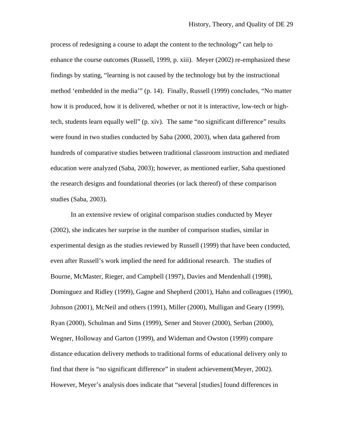process of redesigning a course to adapt the content to the technology" can help to enhance the course outcomes (Russell, 1999, p. xiii). Meyer (2002) re-emphasized these findings by stating, "learning is not caused by the technology but by the instructional method 'embedded in the media'" (p. 14). Finally, Russell (1999) concludes, "No matter how it is produced, how it is delivered, whether or not it is interactive, low-tech or hightech, students learn equally well" (p. xiv). The same "no significant difference" results were found in two studies conducted by Saba (2000, 2003), when data gathered from hundreds of comparative studies between traditional classroom instruction and mediated education were analyzed (Saba, 2003); however, as mentioned earlier, Saba questioned the research designs and foundational theories (or lack thereof) of these comparison studies (Saba, 2003).

 In an extensive review of original comparison studies conducted by Meyer (2002), she indicates her surprise in the number of comparison studies, similar in experimental design as the studies reviewed by Russell (1999) that have been conducted, even after Russell's work implied the need for additional research. The studies of Bourne, McMaster, Rieger, and Campbell (1997), Davies and Mendenhall (1998), Dominguez and Ridley (1999), Gagne and Shepherd (2001), Hahn and colleagues (1990), Johnson (2001), McNeil and others (1991), Miller (2000), Mulligan and Geary (1999), Ryan (2000), Schulman and Sims (1999), Sener and Stover (2000), Serban (2000), Wegner, Holloway and Garton (1999), and Wideman and Owston (1999) compare distance education delivery methods to traditional forms of educational delivery only to find that there is "no significant difference" in student achievement(Meyer, 2002). However, Meyer's analysis does indicate that "several [studies] found differences in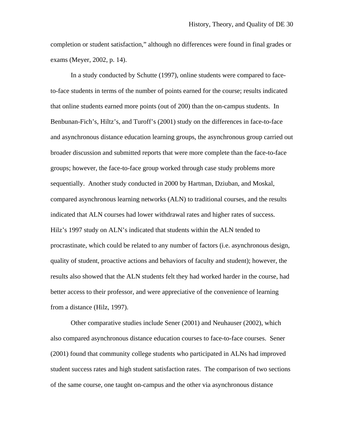completion or student satisfaction," although no differences were found in final grades or exams (Meyer, 2002, p. 14).

 In a study conducted by Schutte (1997), online students were compared to faceto-face students in terms of the number of points earned for the course; results indicated that online students earned more points (out of 200) than the on-campus students. In Benbunan-Fich's, Hiltz's, and Turoff's (2001) study on the differences in face-to-face and asynchronous distance education learning groups, the asynchronous group carried out broader discussion and submitted reports that were more complete than the face-to-face groups; however, the face-to-face group worked through case study problems more sequentially. Another study conducted in 2000 by Hartman, Dziuban, and Moskal, compared asynchronous learning networks (ALN) to traditional courses, and the results indicated that ALN courses had lower withdrawal rates and higher rates of success. Hilz's 1997 study on ALN's indicated that students within the ALN tended to procrastinate, which could be related to any number of factors (i.e. asynchronous design, quality of student, proactive actions and behaviors of faculty and student); however, the results also showed that the ALN students felt they had worked harder in the course, had better access to their professor, and were appreciative of the convenience of learning from a distance (Hilz, 1997).

 Other comparative studies include Sener (2001) and Neuhauser (2002), which also compared asynchronous distance education courses to face-to-face courses. Sener (2001) found that community college students who participated in ALNs had improved student success rates and high student satisfaction rates. The comparison of two sections of the same course, one taught on-campus and the other via asynchronous distance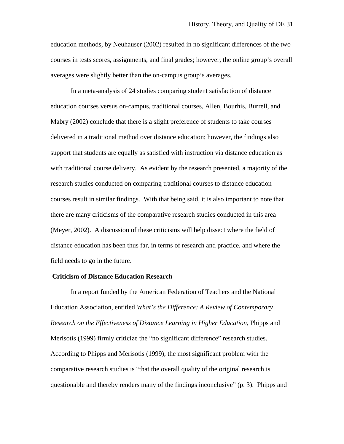education methods, by Neuhauser (2002) resulted in no significant differences of the two courses in tests scores, assignments, and final grades; however, the online group's overall averages were slightly better than the on-campus group's averages.

In a meta-analysis of 24 studies comparing student satisfaction of distance education courses versus on-campus, traditional courses, Allen, Bourhis, Burrell, and Mabry (2002) conclude that there is a slight preference of students to take courses delivered in a traditional method over distance education; however, the findings also support that students are equally as satisfied with instruction via distance education as with traditional course delivery. As evident by the research presented, a majority of the research studies conducted on comparing traditional courses to distance education courses result in similar findings. With that being said, it is also important to note that there are many criticisms of the comparative research studies conducted in this area (Meyer, 2002). A discussion of these criticisms will help dissect where the field of distance education has been thus far, in terms of research and practice, and where the field needs to go in the future.

#### **Criticism of Distance Education Research**

 In a report funded by the American Federation of Teachers and the National Education Association, entitled *What's the Difference: A Review of Contemporary Research on the Effectiveness of Distance Learning in Higher Education*, Phipps and Merisotis (1999) firmly criticize the "no significant difference" research studies. According to Phipps and Merisotis (1999), the most significant problem with the comparative research studies is "that the overall quality of the original research is questionable and thereby renders many of the findings inconclusive" (p. 3). Phipps and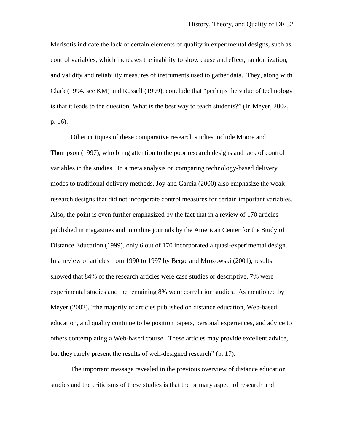Merisotis indicate the lack of certain elements of quality in experimental designs, such as control variables, which increases the inability to show cause and effect, randomization, and validity and reliability measures of instruments used to gather data. They, along with Clark (1994, see KM) and Russell (1999), conclude that "perhaps the value of technology is that it leads to the question, What is the best way to teach students?" (In Meyer, 2002, p. 16).

 Other critiques of these comparative research studies include Moore and Thompson (1997), who bring attention to the poor research designs and lack of control variables in the studies. In a meta analysis on comparing technology-based delivery modes to traditional delivery methods, Joy and Garcia (2000) also emphasize the weak research designs that did not incorporate control measures for certain important variables. Also, the point is even further emphasized by the fact that in a review of 170 articles published in magazines and in online journals by the American Center for the Study of Distance Education (1999), only 6 out of 170 incorporated a quasi-experimental design. In a review of articles from 1990 to 1997 by Berge and Mrozowski (2001), results showed that 84% of the research articles were case studies or descriptive, 7% were experimental studies and the remaining 8% were correlation studies. As mentioned by Meyer (2002), "the majority of articles published on distance education, Web-based education, and quality continue to be position papers, personal experiences, and advice to others contemplating a Web-based course. These articles may provide excellent advice, but they rarely present the results of well-designed research" (p. 17).

 The important message revealed in the previous overview of distance education studies and the criticisms of these studies is that the primary aspect of research and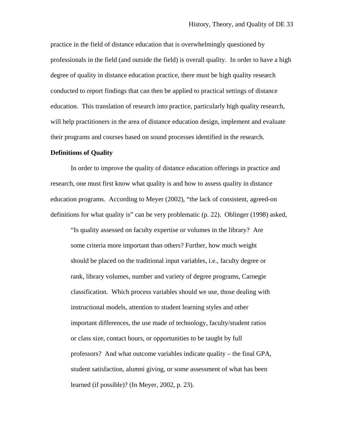practice in the field of distance education that is overwhelmingly questioned by professionals in the field (and outside the field) is overall quality. In order to have a high degree of quality in distance education practice, there must be high quality research conducted to report findings that can then be applied to practical settings of distance education. This translation of research into practice, particularly high quality research, will help practitioners in the area of distance education design, implement and evaluate their programs and courses based on sound processes identified in the research.

#### **Definitions of Quality**

In order to improve the quality of distance education offerings in practice and research, one must first know what quality is and how to assess quality in distance education programs. According to Meyer (2002), "the lack of consistent, agreed-on definitions for what quality is" can be very problematic (p. 22). Oblinger (1998) asked,

"Is quality assessed on faculty expertise or volumes in the library? Are some criteria more important than others? Further, how much weight should be placed on the traditional input variables, i.e., faculty degree or rank, library volumes, number and variety of degree programs, Carnegie classification. Which process variables should we use, those dealing with instructional models, attention to student learning styles and other important differences, the use made of technology, faculty/student ratios or class size, contact hours, or opportunities to be taught by full professors? And what outcome variables indicate quality – the final GPA, student satisfaction, alumni giving, or some assessment of what has been learned (if possible)? (In Meyer, 2002, p. 23).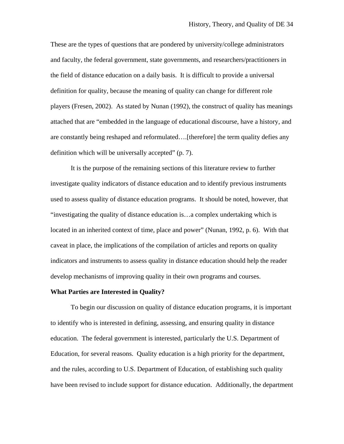These are the types of questions that are pondered by university/college administrators and faculty, the federal government, state governments, and researchers/practitioners in the field of distance education on a daily basis. It is difficult to provide a universal definition for quality, because the meaning of quality can change for different role players (Fresen, 2002). As stated by Nunan (1992), the construct of quality has meanings attached that are "embedded in the language of educational discourse, have a history, and are constantly being reshaped and reformulated….[therefore] the term quality defies any definition which will be universally accepted" (p. 7).

It is the purpose of the remaining sections of this literature review to further investigate quality indicators of distance education and to identify previous instruments used to assess quality of distance education programs. It should be noted, however, that "investigating the quality of distance education is…a complex undertaking which is located in an inherited context of time, place and power" (Nunan, 1992, p. 6). With that caveat in place, the implications of the compilation of articles and reports on quality indicators and instruments to assess quality in distance education should help the reader develop mechanisms of improving quality in their own programs and courses.

#### **What Parties are Interested in Quality?**

 To begin our discussion on quality of distance education programs, it is important to identify who is interested in defining, assessing, and ensuring quality in distance education. The federal government is interested, particularly the U.S. Department of Education, for several reasons. Quality education is a high priority for the department, and the rules, according to U.S. Department of Education, of establishing such quality have been revised to include support for distance education. Additionally, the department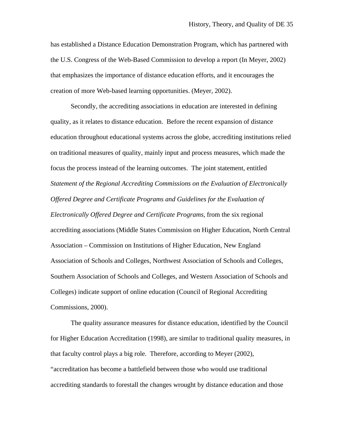has established a Distance Education Demonstration Program, which has partnered with the U.S. Congress of the Web-Based Commission to develop a report (In Meyer, 2002) that emphasizes the importance of distance education efforts, and it encourages the creation of more Web-based learning opportunities. (Meyer, 2002).

 Secondly, the accrediting associations in education are interested in defining quality, as it relates to distance education. Before the recent expansion of distance education throughout educational systems across the globe, accrediting institutions relied on traditional measures of quality, mainly input and process measures, which made the focus the process instead of the learning outcomes. The joint statement, entitled *Statement of the Regional Accrediting Commissions on the Evaluation of Electronically Offered Degree and Certificate Programs and Guidelines for the Evaluation of Electronically Offered Degree and Certificate Programs*, from the six regional accrediting associations (Middle States Commission on Higher Education, North Central Association – Commission on Institutions of Higher Education, New England Association of Schools and Colleges, Northwest Association of Schools and Colleges, Southern Association of Schools and Colleges, and Western Association of Schools and Colleges) indicate support of online education (Council of Regional Accrediting Commissions, 2000).

 The quality assurance measures for distance education, identified by the Council for Higher Education Accreditation (1998), are similar to traditional quality measures, in that faculty control plays a big role. Therefore, according to Meyer (2002), "accreditation has become a battlefield between those who would use traditional accrediting standards to forestall the changes wrought by distance education and those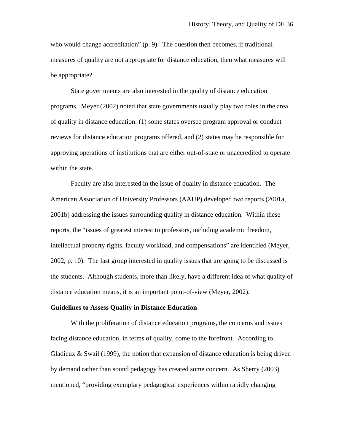who would change accreditation" (p. 9). The question then becomes, if traditional measures of quality are not appropriate for distance education, then what measures will be appropriate?

 State governments are also interested in the quality of distance education programs. Meyer (2002) noted that state governments usually play two roles in the area of quality in distance education: (1) some states oversee program approval or conduct reviews for distance education programs offered, and (2) states may be responsible for approving operations of institutions that are either out-of-state or unaccredited to operate within the state.

 Faculty are also interested in the issue of quality in distance education. The American Association of University Professors (AAUP) developed two reports (2001a, 2001b) addressing the issues surrounding quality in distance education. Within these reports, the "issues of greatest interest to professors, including academic freedom, intellectual property rights, faculty workload, and compensations" are identified (Meyer, 2002, p. 10). The last group interested in quality issues that are going to be discussed is the students. Although students, more than likely, have a different idea of what quality of distance education means, it is an important point-of-view (Meyer, 2002).

#### **Guidelines to Assess Quality in Distance Education**

With the proliferation of distance education programs, the concerns and issues facing distance education, in terms of quality, come to the forefront. According to Gladieux  $\&$  Swail (1999), the notion that expansion of distance education is being driven by demand rather than sound pedagogy has created some concern. As Sherry (2003) mentioned, "providing exemplary pedagogical experiences within rapidly changing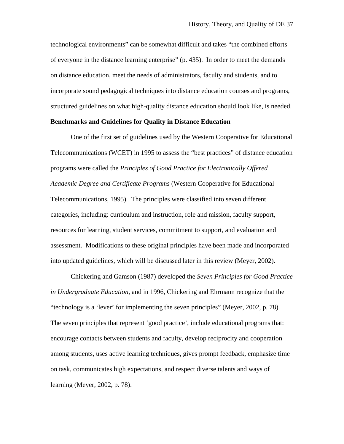technological environments" can be somewhat difficult and takes "the combined efforts of everyone in the distance learning enterprise" (p. 435). In order to meet the demands on distance education, meet the needs of administrators, faculty and students, and to incorporate sound pedagogical techniques into distance education courses and programs, structured guidelines on what high-quality distance education should look like, is needed.

## **Benchmarks and Guidelines for Quality in Distance Education**

One of the first set of guidelines used by the Western Cooperative for Educational Telecommunications (WCET) in 1995 to assess the "best practices" of distance education programs were called the *Principles of Good Practice for Electronically Offered Academic Degree and Certificate Programs* (Western Cooperative for Educational Telecommunications, 1995). The principles were classified into seven different categories, including: curriculum and instruction, role and mission, faculty support, resources for learning, student services, commitment to support, and evaluation and assessment. Modifications to these original principles have been made and incorporated into updated guidelines, which will be discussed later in this review (Meyer, 2002).

 Chickering and Gamson (1987) developed the *Seven Principles for Good Practice in Undergraduate Education*, and in 1996, Chickering and Ehrmann recognize that the "technology is a 'lever' for implementing the seven principles" (Meyer, 2002, p. 78). The seven principles that represent 'good practice', include educational programs that: encourage contacts between students and faculty, develop reciprocity and cooperation among students, uses active learning techniques, gives prompt feedback, emphasize time on task, communicates high expectations, and respect diverse talents and ways of learning (Meyer, 2002, p. 78).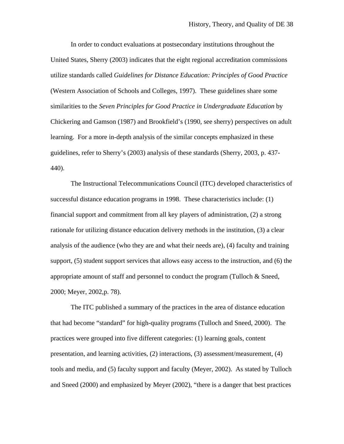In order to conduct evaluations at postsecondary institutions throughout the United States, Sherry (2003) indicates that the eight regional accreditation commissions utilize standards called *Guidelines for Distance Education: Principles of Good Practice* (Western Association of Schools and Colleges, 1997). These guidelines share some similarities to the *Seven Principles for Good Practice in Undergraduate Education* by Chickering and Gamson (1987) and Brookfield's (1990, see sherry) perspectives on adult learning. For a more in-depth analysis of the similar concepts emphasized in these guidelines, refer to Sherry's (2003) analysis of these standards (Sherry, 2003, p. 437- 440).

 The Instructional Telecommunications Council (ITC) developed characteristics of successful distance education programs in 1998. These characteristics include: (1) financial support and commitment from all key players of administration, (2) a strong rationale for utilizing distance education delivery methods in the institution, (3) a clear analysis of the audience (who they are and what their needs are), (4) faculty and training support, (5) student support services that allows easy access to the instruction, and (6) the appropriate amount of staff and personnel to conduct the program (Tulloch & Sneed, 2000; Meyer, 2002,p. 78).

 The ITC published a summary of the practices in the area of distance education that had become "standard" for high-quality programs (Tulloch and Sneed, 2000). The practices were grouped into five different categories: (1) learning goals, content presentation, and learning activities, (2) interactions, (3) assessment/measurement, (4) tools and media, and (5) faculty support and faculty (Meyer, 2002). As stated by Tulloch and Sneed (2000) and emphasized by Meyer (2002), "there is a danger that best practices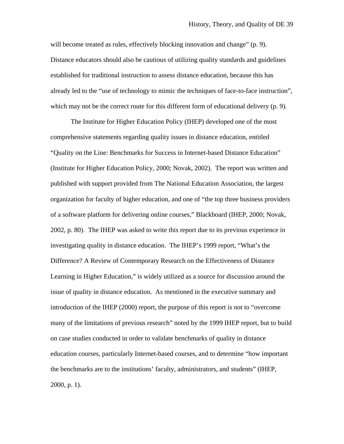will become treated as rules, effectively blocking innovation and change" (p. 9). Distance educators should also be cautious of utilizing quality standards and guidelines established for traditional instruction to assess distance education, because this has already led to the "use of technology to mimic the techniques of face-to-face instruction", which may not be the correct route for this different form of educational delivery (p. 9).

 The Institute for Higher Education Policy (IHEP) developed one of the most comprehensive statements regarding quality issues in distance education, entitled "Quality on the Line: Benchmarks for Success in Internet-based Distance Education" (Institute for Higher Education Policy, 2000; Novak, 2002). The report was written and published with support provided from The National Education Association, the largest organization for faculty of higher education, and one of "the top three business providers of a software platform for delivering online courses," Blackboard (IHEP, 2000; Novak, 2002, p. 80). The IHEP was asked to write this report due to its previous experience in investigating quality in distance education. The IHEP's 1999 report, "What's the Difference? A Review of Contemporary Research on the Effectiveness of Distance Learning in Higher Education," is widely utilized as a source for discussion around the issue of quality in distance education. As mentioned in the executive summary and introduction of the IHEP (2000) report, the purpose of this report is not to "overcome many of the limitations of previous research" noted by the 1999 IHEP report, but to build on case studies conducted in order to validate benchmarks of quality in distance education courses, particularly Internet-based courses, and to determine "how important the benchmarks are to the institutions' faculty, administrators, and students" (IHEP, 2000, p. 1).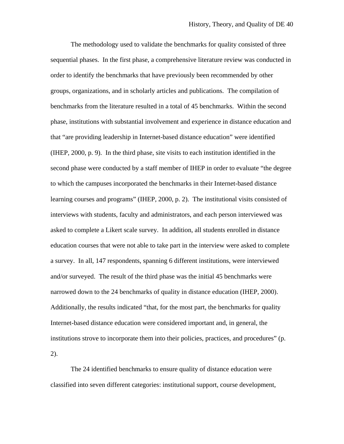The methodology used to validate the benchmarks for quality consisted of three sequential phases. In the first phase, a comprehensive literature review was conducted in order to identify the benchmarks that have previously been recommended by other groups, organizations, and in scholarly articles and publications. The compilation of benchmarks from the literature resulted in a total of 45 benchmarks. Within the second phase, institutions with substantial involvement and experience in distance education and that "are providing leadership in Internet-based distance education" were identified (IHEP, 2000, p. 9). In the third phase, site visits to each institution identified in the second phase were conducted by a staff member of IHEP in order to evaluate "the degree to which the campuses incorporated the benchmarks in their Internet-based distance learning courses and programs" (IHEP, 2000, p. 2). The institutional visits consisted of interviews with students, faculty and administrators, and each person interviewed was asked to complete a Likert scale survey. In addition, all students enrolled in distance education courses that were not able to take part in the interview were asked to complete a survey. In all, 147 respondents, spanning 6 different institutions, were interviewed and/or surveyed. The result of the third phase was the initial 45 benchmarks were narrowed down to the 24 benchmarks of quality in distance education (IHEP, 2000). Additionally, the results indicated "that, for the most part, the benchmarks for quality Internet-based distance education were considered important and, in general, the institutions strove to incorporate them into their policies, practices, and procedures" (p. 2).

 The 24 identified benchmarks to ensure quality of distance education were classified into seven different categories: institutional support, course development,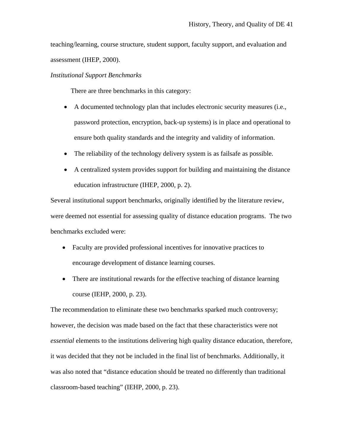teaching/learning, course structure, student support, faculty support, and evaluation and assessment (IHEP, 2000).

## *Institutional Support Benchmarks*

There are three benchmarks in this category:

- A documented technology plan that includes electronic security measures (i.e., password protection, encryption, back-up systems) is in place and operational to ensure both quality standards and the integrity and validity of information.
- The reliability of the technology delivery system is as failsafe as possible.
- A centralized system provides support for building and maintaining the distance education infrastructure (IHEP, 2000, p. 2).

Several institutional support benchmarks, originally identified by the literature review, were deemed not essential for assessing quality of distance education programs. The two benchmarks excluded were:

- Faculty are provided professional incentives for innovative practices to encourage development of distance learning courses.
- There are institutional rewards for the effective teaching of distance learning course (IEHP, 2000, p. 23).

The recommendation to eliminate these two benchmarks sparked much controversy; however, the decision was made based on the fact that these characteristics were not *essential* elements to the institutions delivering high quality distance education, therefore, it was decided that they not be included in the final list of benchmarks. Additionally, it was also noted that "distance education should be treated no differently than traditional classroom-based teaching" (IEHP, 2000, p. 23).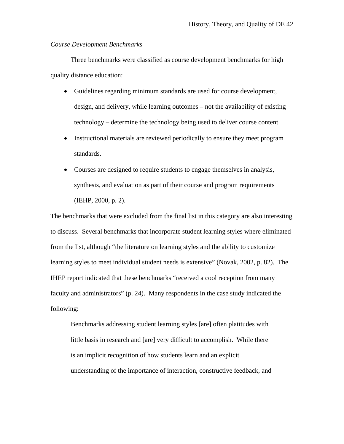## *Course Development Benchmarks*

 Three benchmarks were classified as course development benchmarks for high quality distance education:

- Guidelines regarding minimum standards are used for course development, design, and delivery, while learning outcomes – not the availability of existing technology – determine the technology being used to deliver course content.
- Instructional materials are reviewed periodically to ensure they meet program standards.
- Courses are designed to require students to engage themselves in analysis, synthesis, and evaluation as part of their course and program requirements (IEHP, 2000, p. 2).

The benchmarks that were excluded from the final list in this category are also interesting to discuss. Several benchmarks that incorporate student learning styles where eliminated from the list, although "the literature on learning styles and the ability to customize learning styles to meet individual student needs is extensive" (Novak, 2002, p. 82). The IHEP report indicated that these benchmarks "received a cool reception from many faculty and administrators" (p. 24). Many respondents in the case study indicated the following:

Benchmarks addressing student learning styles [are] often platitudes with little basis in research and [are] very difficult to accomplish. While there is an implicit recognition of how students learn and an explicit understanding of the importance of interaction, constructive feedback, and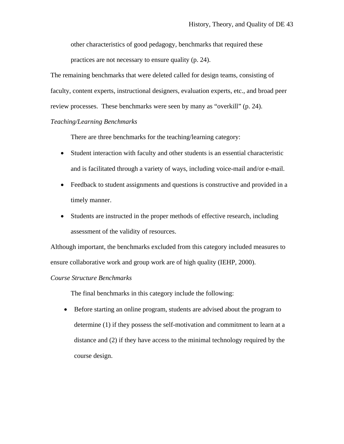other characteristics of good pedagogy, benchmarks that required these

practices are not necessary to ensure quality (p. 24).

The remaining benchmarks that were deleted called for design teams, consisting of faculty, content experts, instructional designers, evaluation experts, etc., and broad peer review processes. These benchmarks were seen by many as "overkill" (p. 24).

## *Teaching/Learning Benchmarks*

There are three benchmarks for the teaching/learning category:

- Student interaction with faculty and other students is an essential characteristic and is facilitated through a variety of ways, including voice-mail and/or e-mail.
- Feedback to student assignments and questions is constructive and provided in a timely manner.
- Students are instructed in the proper methods of effective research, including assessment of the validity of resources.

Although important, the benchmarks excluded from this category included measures to ensure collaborative work and group work are of high quality (IEHP, 2000).

# *Course Structure Benchmarks*

The final benchmarks in this category include the following:

• Before starting an online program, students are advised about the program to determine (1) if they possess the self-motivation and commitment to learn at a distance and (2) if they have access to the minimal technology required by the course design.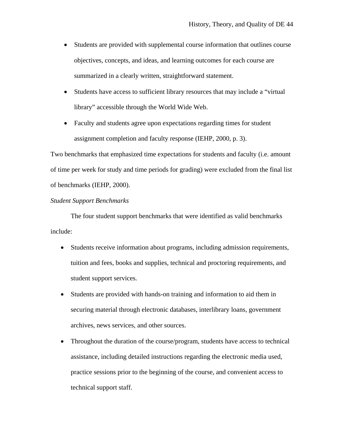- Students are provided with supplemental course information that outlines course objectives, concepts, and ideas, and learning outcomes for each course are summarized in a clearly written, straightforward statement.
- Students have access to sufficient library resources that may include a "virtual library" accessible through the World Wide Web.
- Faculty and students agree upon expectations regarding times for student assignment completion and faculty response (IEHP, 2000, p. 3).

Two benchmarks that emphasized time expectations for students and faculty (i.e. amount of time per week for study and time periods for grading) were excluded from the final list of benchmarks (IEHP, 2000).

## *Student Support Benchmarks*

 The four student support benchmarks that were identified as valid benchmarks include:

- Students receive information about programs, including admission requirements, tuition and fees, books and supplies, technical and proctoring requirements, and student support services.
- Students are provided with hands-on training and information to aid them in securing material through electronic databases, interlibrary loans, government archives, news services, and other sources.
- Throughout the duration of the course/program, students have access to technical assistance, including detailed instructions regarding the electronic media used, practice sessions prior to the beginning of the course, and convenient access to technical support staff.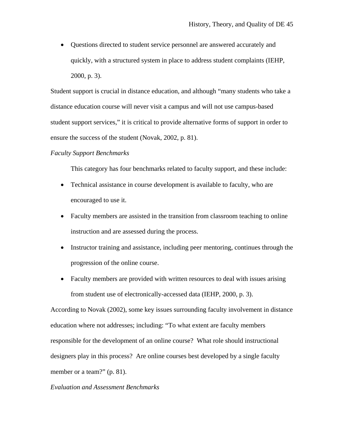• Questions directed to student service personnel are answered accurately and quickly, with a structured system in place to address student complaints (IEHP, 2000, p. 3).

Student support is crucial in distance education, and although "many students who take a distance education course will never visit a campus and will not use campus-based student support services," it is critical to provide alternative forms of support in order to ensure the success of the student (Novak, 2002, p. 81).

### *Faculty Support Benchmarks*

This category has four benchmarks related to faculty support, and these include:

- Technical assistance in course development is available to faculty, who are encouraged to use it.
- Faculty members are assisted in the transition from classroom teaching to online instruction and are assessed during the process.
- Instructor training and assistance, including peer mentoring, continues through the progression of the online course.
- Faculty members are provided with written resources to deal with issues arising from student use of electronically-accessed data (IEHP, 2000, p. 3).

According to Novak (2002), some key issues surrounding faculty involvement in distance education where not addresses; including: "To what extent are faculty members responsible for the development of an online course? What role should instructional designers play in this process? Are online courses best developed by a single faculty member or a team?" (p. 81).

## *Evaluation and Assessment Benchmarks*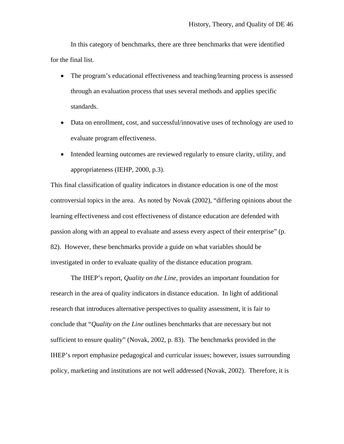In this category of benchmarks, there are three benchmarks that were identified for the final list.

- The program's educational effectiveness and teaching/learning process is assessed through an evaluation process that uses several methods and applies specific standards.
- Data on enrollment, cost, and successful/innovative uses of technology are used to evaluate program effectiveness.
- Intended learning outcomes are reviewed regularly to ensure clarity, utility, and appropriateness (IEHP, 2000, p.3).

This final classification of quality indicators in distance education is one of the most controversial topics in the area. As noted by Novak (2002), "differing opinions about the learning effectiveness and cost effectiveness of distance education are defended with passion along with an appeal to evaluate and assess every aspect of their enterprise" (p. 82). However, these benchmarks provide a guide on what variables should be investigated in order to evaluate quality of the distance education program.

 The IHEP's report, *Quality on the Line*, provides an important foundation for research in the area of quality indicators in distance education. In light of additional research that introduces alternative perspectives to quality assessment, it is fair to conclude that "*Quality on the Line* outlines benchmarks that are necessary but not sufficient to ensure quality" (Novak, 2002, p. 83). The benchmarks provided in the IHEP's report emphasize pedagogical and curricular issues; however, issues surrounding policy, marketing and institutions are not well addressed (Novak, 2002). Therefore, it is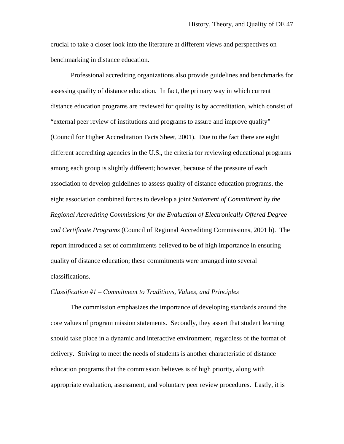crucial to take a closer look into the literature at different views and perspectives on benchmarking in distance education.

 Professional accrediting organizations also provide guidelines and benchmarks for assessing quality of distance education. In fact, the primary way in which current distance education programs are reviewed for quality is by accreditation, which consist of "external peer review of institutions and programs to assure and improve quality" (Council for Higher Accreditation Facts Sheet, 2001). Due to the fact there are eight different accrediting agencies in the U.S., the criteria for reviewing educational programs among each group is slightly different; however, because of the pressure of each association to develop guidelines to assess quality of distance education programs, the eight association combined forces to develop a joint *Statement of Commitment by the Regional Accrediting Commissions for the Evaluation of Electronically Offered Degree and Certificate Programs* (Council of Regional Accrediting Commissions, 2001 b). The report introduced a set of commitments believed to be of high importance in ensuring quality of distance education; these commitments were arranged into several classifications.

## *Classification #1 – Commitment to Traditions, Values, and Principles*

 The commission emphasizes the importance of developing standards around the core values of program mission statements. Secondly, they assert that student learning should take place in a dynamic and interactive environment, regardless of the format of delivery. Striving to meet the needs of students is another characteristic of distance education programs that the commission believes is of high priority, along with appropriate evaluation, assessment, and voluntary peer review procedures. Lastly, it is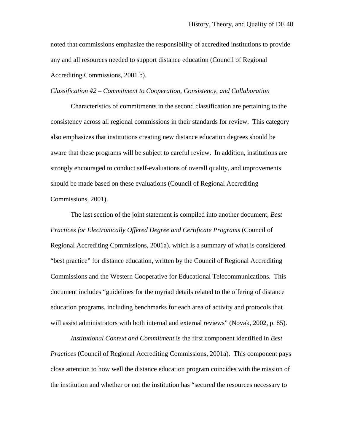noted that commissions emphasize the responsibility of accredited institutions to provide any and all resources needed to support distance education (Council of Regional Accrediting Commissions, 2001 b).

#### *Classification #2 – Commitment to Cooperation, Consistency, and Collaboration*

 Characteristics of commitments in the second classification are pertaining to the consistency across all regional commissions in their standards for review. This category also emphasizes that institutions creating new distance education degrees should be aware that these programs will be subject to careful review. In addition, institutions are strongly encouraged to conduct self-evaluations of overall quality, and improvements should be made based on these evaluations (Council of Regional Accrediting Commissions, 2001).

 The last section of the joint statement is compiled into another document, *Best Practices for Electronically Offered Degree and Certificate Programs* (Council of Regional Accrediting Commissions, 2001a), which is a summary of what is considered "best practice" for distance education, written by the Council of Regional Accrediting Commissions and the Western Cooperative for Educational Telecommunications. This document includes "guidelines for the myriad details related to the offering of distance education programs, including benchmarks for each area of activity and protocols that will assist administrators with both internal and external reviews" (Novak, 2002, p. 85).

*Institutional Context and Commitment* is the first component identified in *Best Practices* (Council of Regional Accrediting Commissions, 2001a). This component pays close attention to how well the distance education program coincides with the mission of the institution and whether or not the institution has "secured the resources necessary to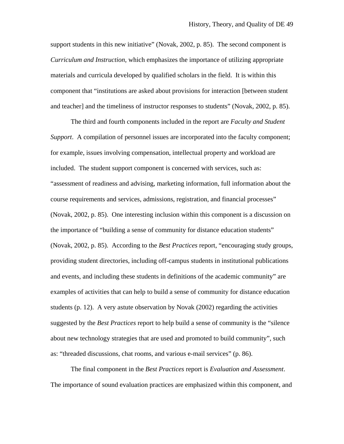support students in this new initiative" (Novak, 2002, p. 85). The second component is *Curriculum and Instruction*, which emphasizes the importance of utilizing appropriate materials and curricula developed by qualified scholars in the field. It is within this component that "institutions are asked about provisions for interaction [between student and teacher] and the timeliness of instructor responses to students" (Novak, 2002, p. 85).

The third and fourth components included in the report are *Faculty and Student Support*. A compilation of personnel issues are incorporated into the faculty component; for example, issues involving compensation, intellectual property and workload are included. The student support component is concerned with services, such as: "assessment of readiness and advising, marketing information, full information about the course requirements and services, admissions, registration, and financial processes" (Novak, 2002, p. 85). One interesting inclusion within this component is a discussion on the importance of "building a sense of community for distance education students" (Novak, 2002, p. 85). According to the *Best Practices* report, "encouraging study groups, providing student directories, including off-campus students in institutional publications and events, and including these students in definitions of the academic community" are examples of activities that can help to build a sense of community for distance education students (p. 12). A very astute observation by Novak (2002) regarding the activities suggested by the *Best Practices* report to help build a sense of community is the "silence about new technology strategies that are used and promoted to build community", such as: "threaded discussions, chat rooms, and various e-mail services" (p. 86).

 The final component in the *Best Practices* report is *Evaluation and Assessment*. The importance of sound evaluation practices are emphasized within this component, and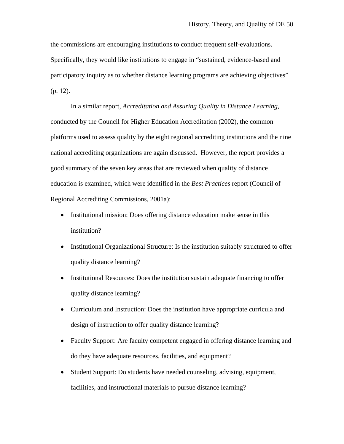the commissions are encouraging institutions to conduct frequent self-evaluations. Specifically, they would like institutions to engage in "sustained, evidence-based and participatory inquiry as to whether distance learning programs are achieving objectives" (p. 12).

 In a similar report, *Accreditation and Assuring Quality in Distance Learning*, conducted by the Council for Higher Education Accreditation (2002), the common platforms used to assess quality by the eight regional accrediting institutions and the nine national accrediting organizations are again discussed. However, the report provides a good summary of the seven key areas that are reviewed when quality of distance education is examined, which were identified in the *Best Practices* report (Council of Regional Accrediting Commissions, 2001a):

- Institutional mission: Does offering distance education make sense in this institution?
- Institutional Organizational Structure: Is the institution suitably structured to offer quality distance learning?
- Institutional Resources: Does the institution sustain adequate financing to offer quality distance learning?
- Curriculum and Instruction: Does the institution have appropriate curricula and design of instruction to offer quality distance learning?
- Faculty Support: Are faculty competent engaged in offering distance learning and do they have adequate resources, facilities, and equipment?
- Student Support: Do students have needed counseling, advising, equipment, facilities, and instructional materials to pursue distance learning?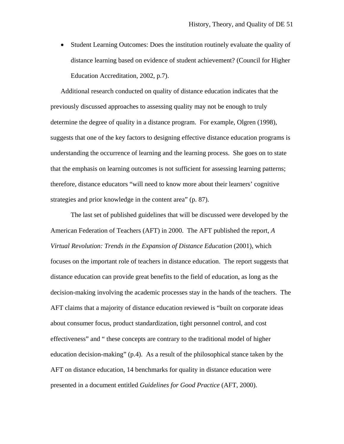• Student Learning Outcomes: Does the institution routinely evaluate the quality of distance learning based on evidence of student achievement? (Council for Higher Education Accreditation, 2002, p.7).

Additional research conducted on quality of distance education indicates that the previously discussed approaches to assessing quality may not be enough to truly determine the degree of quality in a distance program. For example, Olgren (1998), suggests that one of the key factors to designing effective distance education programs is understanding the occurrence of learning and the learning process. She goes on to state that the emphasis on learning outcomes is not sufficient for assessing learning patterns; therefore, distance educators "will need to know more about their learners' cognitive strategies and prior knowledge in the content area" (p. 87).

 The last set of published guidelines that will be discussed were developed by the American Federation of Teachers (AFT) in 2000. The AFT published the report, *A Virtual Revolution: Trends in the Expansion of Distance Education* (2001), which focuses on the important role of teachers in distance education. The report suggests that distance education can provide great benefits to the field of education, as long as the decision-making involving the academic processes stay in the hands of the teachers. The AFT claims that a majority of distance education reviewed is "built on corporate ideas about consumer focus, product standardization, tight personnel control, and cost effectiveness" and " these concepts are contrary to the traditional model of higher education decision-making" (p.4). As a result of the philosophical stance taken by the AFT on distance education, 14 benchmarks for quality in distance education were presented in a document entitled *Guidelines for Good Practice* (AFT, 2000).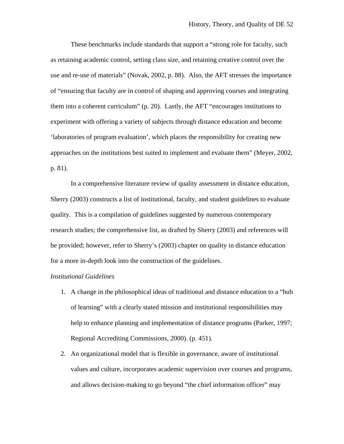These benchmarks include standards that support a "strong role for faculty, such as retaining academic control, setting class size, and retaining creative control over the use and re-use of materials" (Novak, 2002, p. 88). Also, the AFT stresses the importance of "ensuring that faculty are in control of shaping and approving courses and integrating them into a coherent curriculum" (p. 20). Lastly, the AFT "encourages institutions to experiment with offering a variety of subjects through distance education and become 'laboratories of program evaluation', which places the responsibility for creating new approaches on the institutions best suited to implement and evaluate them" (Meyer, 2002, p. 81).

 In a comprehensive literature review of quality assessment in distance education, Sherry (2003) constructs a list of institutional, faculty, and student guidelines to evaluate quality. This is a compilation of guidelines suggested by numerous contemporary research studies; the comprehensive list, as drafted by Sherry (2003) and references will be provided; however, refer to Sherry's (2003) chapter on quality in distance education for a more in-depth look into the construction of the guidelines.

### *Institutional Guidelines*

- 1. A change in the philosophical ideas of traditional and distance education to a "hub of learning" with a clearly stated mission and institutional responsibilities may help to enhance planning and implementation of distance programs (Parker, 1997; Regional Accrediting Commissions, 2000). (p. 451).
- 2. An organizational model that is flexible in governance, aware of institutional values and culture, incorporates academic supervision over courses and programs, and allows decision-making to go beyond "the chief information officer" may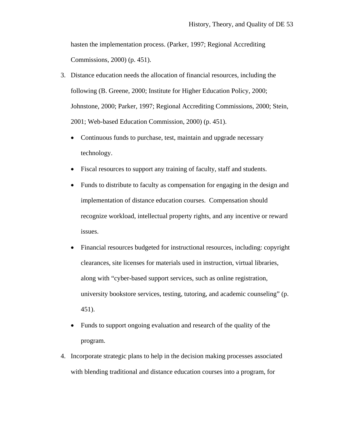hasten the implementation process. (Parker, 1997; Regional Accrediting Commissions, 2000) (p. 451).

- 3. Distance education needs the allocation of financial resources, including the following (B. Greene, 2000; Institute for Higher Education Policy, 2000; Johnstone, 2000; Parker, 1997; Regional Accrediting Commissions, 2000; Stein, 2001; Web-based Education Commission, 2000) (p. 451).
	- Continuous funds to purchase, test, maintain and upgrade necessary technology.
	- Fiscal resources to support any training of faculty, staff and students.
	- Funds to distribute to faculty as compensation for engaging in the design and implementation of distance education courses. Compensation should recognize workload, intellectual property rights, and any incentive or reward issues.
	- Financial resources budgeted for instructional resources, including: copyright clearances, site licenses for materials used in instruction, virtual libraries, along with "cyber-based support services, such as online registration, university bookstore services, testing, tutoring, and academic counseling" (p. 451).
	- Funds to support ongoing evaluation and research of the quality of the program.
- 4. Incorporate strategic plans to help in the decision making processes associated with blending traditional and distance education courses into a program, for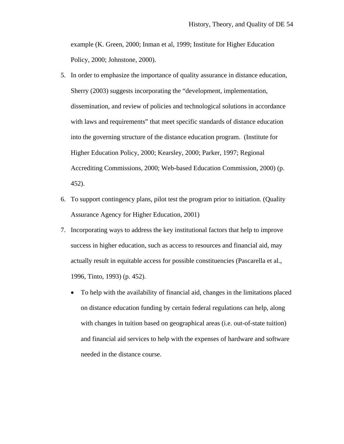example (K. Green, 2000; Inman et al, 1999; Institute for Higher Education Policy, 2000; Johnstone, 2000).

- 5. In order to emphasize the importance of quality assurance in distance education, Sherry (2003) suggests incorporating the "development, implementation, dissemination, and review of policies and technological solutions in accordance with laws and requirements" that meet specific standards of distance education into the governing structure of the distance education program. (Institute for Higher Education Policy, 2000; Kearsley, 2000; Parker, 1997; Regional Accrediting Commissions, 2000; Web-based Education Commission, 2000) (p. 452).
- 6. To support contingency plans, pilot test the program prior to initiation. (Quality Assurance Agency for Higher Education, 2001)
- 7. Incorporating ways to address the key institutional factors that help to improve success in higher education, such as access to resources and financial aid, may actually result in equitable access for possible constituencies (Pascarella et al., 1996, Tinto, 1993) (p. 452).
	- To help with the availability of financial aid, changes in the limitations placed on distance education funding by certain federal regulations can help, along with changes in tuition based on geographical areas (i.e. out-of-state tuition) and financial aid services to help with the expenses of hardware and software needed in the distance course.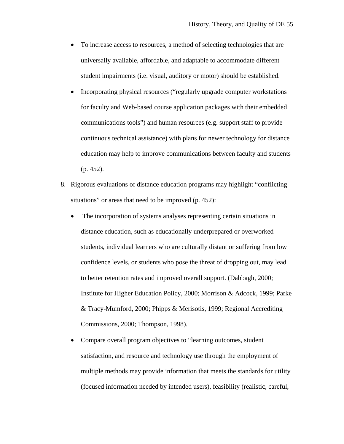- To increase access to resources, a method of selecting technologies that are universally available, affordable, and adaptable to accommodate different student impairments (i.e. visual, auditory or motor) should be established.
- Incorporating physical resources ("regularly upgrade computer workstations") for faculty and Web-based course application packages with their embedded communications tools") and human resources (e.g. support staff to provide continuous technical assistance) with plans for newer technology for distance education may help to improve communications between faculty and students (p. 452).
- 8. Rigorous evaluations of distance education programs may highlight "conflicting situations" or areas that need to be improved (p. 452):
	- The incorporation of systems analyses representing certain situations in distance education, such as educationally underprepared or overworked students, individual learners who are culturally distant or suffering from low confidence levels, or students who pose the threat of dropping out, may lead to better retention rates and improved overall support. (Dabbagh, 2000; Institute for Higher Education Policy, 2000; Morrison & Adcock, 1999; Parke & Tracy-Mumford, 2000; Phipps & Merisotis, 1999; Regional Accrediting Commissions, 2000; Thompson, 1998).
	- Compare overall program objectives to "learning outcomes, student satisfaction, and resource and technology use through the employment of multiple methods may provide information that meets the standards for utility (focused information needed by intended users), feasibility (realistic, careful,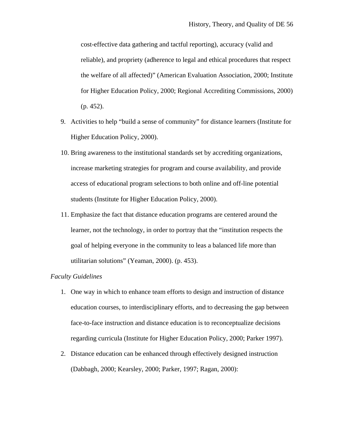cost-effective data gathering and tactful reporting), accuracy (valid and reliable), and propriety (adherence to legal and ethical procedures that respect the welfare of all affected)" (American Evaluation Association, 2000; Institute for Higher Education Policy, 2000; Regional Accrediting Commissions, 2000) (p. 452).

- 9. Activities to help "build a sense of community" for distance learners (Institute for Higher Education Policy, 2000).
- 10. Bring awareness to the institutional standards set by accrediting organizations, increase marketing strategies for program and course availability, and provide access of educational program selections to both online and off-line potential students (Institute for Higher Education Policy, 2000).
- 11. Emphasize the fact that distance education programs are centered around the learner, not the technology, in order to portray that the "institution respects the goal of helping everyone in the community to leas a balanced life more than utilitarian solutions" (Yeaman, 2000). (p. 453).

### *Faculty Guidelines*

- 1. One way in which to enhance team efforts to design and instruction of distance education courses, to interdisciplinary efforts, and to decreasing the gap between face-to-face instruction and distance education is to reconceptualize decisions regarding curricula (Institute for Higher Education Policy, 2000; Parker 1997).
- 2. Distance education can be enhanced through effectively designed instruction (Dabbagh, 2000; Kearsley, 2000; Parker, 1997; Ragan, 2000):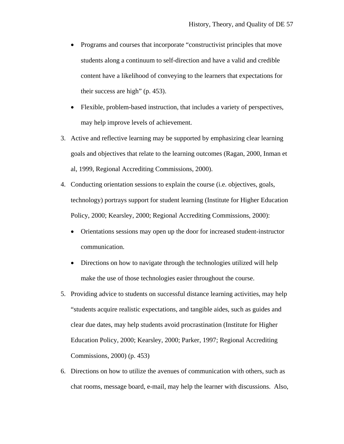- Programs and courses that incorporate "constructivist principles that move students along a continuum to self-direction and have a valid and credible content have a likelihood of conveying to the learners that expectations for their success are high" (p. 453).
- Flexible, problem-based instruction, that includes a variety of perspectives, may help improve levels of achievement.
- 3. Active and reflective learning may be supported by emphasizing clear learning goals and objectives that relate to the learning outcomes (Ragan, 2000, Inman et al, 1999, Regional Accrediting Commissions, 2000).
- 4. Conducting orientation sessions to explain the course (i.e. objectives, goals, technology) portrays support for student learning (Institute for Higher Education Policy, 2000; Kearsley, 2000; Regional Accrediting Commissions, 2000):
	- Orientations sessions may open up the door for increased student-instructor communication.
	- Directions on how to navigate through the technologies utilized will help make the use of those technologies easier throughout the course.
- 5. Providing advice to students on successful distance learning activities, may help "students acquire realistic expectations, and tangible aides, such as guides and clear due dates, may help students avoid procrastination (Institute for Higher Education Policy, 2000; Kearsley, 2000; Parker, 1997; Regional Accrediting Commissions, 2000) (p. 453)
- 6. Directions on how to utilize the avenues of communication with others, such as chat rooms, message board, e-mail, may help the learner with discussions. Also,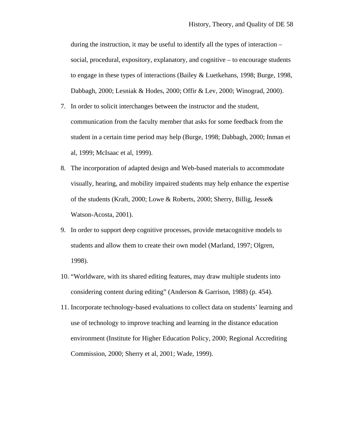during the instruction, it may be useful to identify all the types of interaction – social, procedural, expository, explanatory, and cognitive – to encourage students to engage in these types of interactions (Bailey & Luetkehans, 1998; Burge, 1998, Dabbagh, 2000; Lesniak & Hodes, 2000; Offir & Lev, 2000; Winograd, 2000).

- 7. In order to solicit interchanges between the instructor and the student, communication from the faculty member that asks for some feedback from the student in a certain time period may help (Burge, 1998; Dabbagh, 2000; Inman et al, 1999; McIsaac et al, 1999).
- 8. The incorporation of adapted design and Web-based materials to accommodate visually, hearing, and mobility impaired students may help enhance the expertise of the students (Kraft, 2000; Lowe & Roberts, 2000; Sherry, Billig, Jesse& Watson-Acosta, 2001).
- 9. In order to support deep cognitive processes, provide metacognitive models to students and allow them to create their own model (Marland, 1997; Olgren, 1998).
- 10. "Worldware, with its shared editing features, may draw multiple students into considering content during editing" (Anderson & Garrison, 1988) (p. 454).
- 11. Incorporate technology-based evaluations to collect data on students' learning and use of technology to improve teaching and learning in the distance education environment (Institute for Higher Education Policy, 2000; Regional Accrediting Commission, 2000; Sherry et al, 2001; Wade, 1999).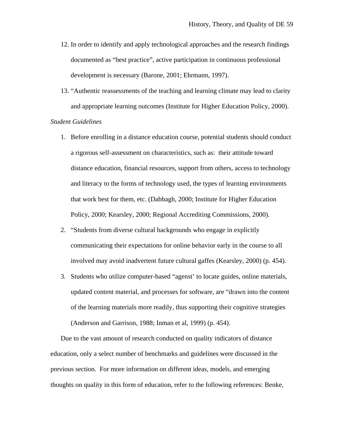- 12. In order to identify and apply technological approaches and the research findings documented as "best practice", active participation in continuous professional development is necessary (Barone, 2001; Ehrmann, 1997).
- 13. "Authentic reassessments of the teaching and learning climate may lead to clarity and appropriate learning outcomes (Institute for Higher Education Policy, 2000).

## *Student Guidelines*

- 1. Before enrolling in a distance education course, potential students should conduct a rigorous self-assessment on characteristics, such as: their attitude toward distance education, financial resources, support from others, access to technology and literacy to the forms of technology used, the types of learning environments that work best for them, etc. (Dabbagh, 2000; Institute for Higher Education Policy, 2000; Kearsley, 2000; Regional Accrediting Commissions, 2000).
- 2. "Students from diverse cultural backgrounds who engage in explicitly communicating their expectations for online behavior early in the course to all involved may avoid inadvertent future cultural gaffes (Kearsley, 2000) (p. 454).
- 3. Students who utilize computer-based "agenst' to locate guides, online materials, updated content material, and processes for software, are "drawn into the content of the learning materials more readily, thus supporting their cognitive strategies (Anderson and Garrison, 1988; Inman et al, 1999) (p. 454).

Due to the vast amount of research conducted on quality indicators of distance education, only a select number of benchmarks and guidelines were discussed in the previous section. For more information on different ideas, models, and emerging thoughts on quality in this form of education, refer to the following references: Benke,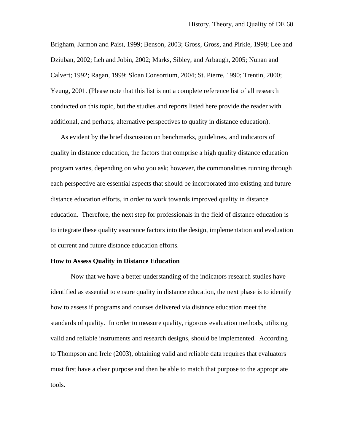Brigham, Jarmon and Paist, 1999; Benson, 2003; Gross, Gross, and Pirkle, 1998; Lee and Dziuban, 2002; Leh and Jobin, 2002; Marks, Sibley, and Arbaugh, 2005; Nunan and Calvert; 1992; Ragan, 1999; Sloan Consortium, 2004; St. Pierre, 1990; Trentin, 2000; Yeung, 2001. (Please note that this list is not a complete reference list of all research conducted on this topic, but the studies and reports listed here provide the reader with additional, and perhaps, alternative perspectives to quality in distance education).

As evident by the brief discussion on benchmarks, guidelines, and indicators of quality in distance education, the factors that comprise a high quality distance education program varies, depending on who you ask; however, the commonalities running through each perspective are essential aspects that should be incorporated into existing and future distance education efforts, in order to work towards improved quality in distance education. Therefore, the next step for professionals in the field of distance education is to integrate these quality assurance factors into the design, implementation and evaluation of current and future distance education efforts.

#### **How to Assess Quality in Distance Education**

 Now that we have a better understanding of the indicators research studies have identified as essential to ensure quality in distance education, the next phase is to identify how to assess if programs and courses delivered via distance education meet the standards of quality. In order to measure quality, rigorous evaluation methods, utilizing valid and reliable instruments and research designs, should be implemented. According to Thompson and Irele (2003), obtaining valid and reliable data requires that evaluators must first have a clear purpose and then be able to match that purpose to the appropriate tools.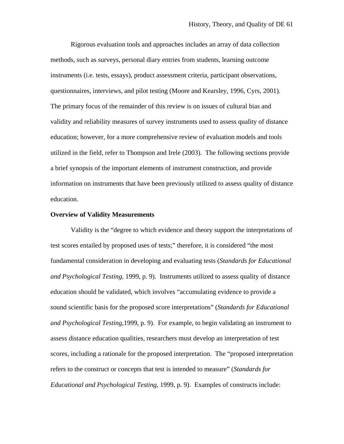Rigorous evaluation tools and approaches includes an array of data collection methods, such as surveys, personal diary entries from students, learning outcome instruments (i.e. tests, essays), product assessment criteria, participant observations, questionnaires, interviews, and pilot testing (Moore and Kearsley, 1996, Cyrs, 2001). The primary focus of the remainder of this review is on issues of cultural bias and validity and reliability measures of survey instruments used to assess quality of distance education; however, for a more comprehensive review of evaluation models and tools utilized in the field, refer to Thompson and Irele (2003). The following sections provide a brief synopsis of the important elements of instrument construction, and provide information on instruments that have been previously utilized to assess quality of distance education.

### **Overview of Validity Measurements**

 Validity is the "degree to which evidence and theory support the interpretations of test scores entailed by proposed uses of tests;" therefore, it is considered "the most fundamental consideration in developing and evaluating tests (*Standards for Educational and Psychological Testing*, 1999, p. 9). Instruments utilized to assess quality of distance education should be validated, which involves "accumulating evidence to provide a sound scientific basis for the proposed score interpretations" (*Standards for Educational and Psychological Testing*,1999, p. 9). For example, to begin validating an instrument to assess distance education qualities, researchers must develop an interpretation of test scores, including a rationale for the proposed interpretation. The "proposed interpretation refers to the construct or concepts that test is intended to measure" (*Standards for Educational and Psychological Testing*, 1999, p. 9). Examples of constructs include: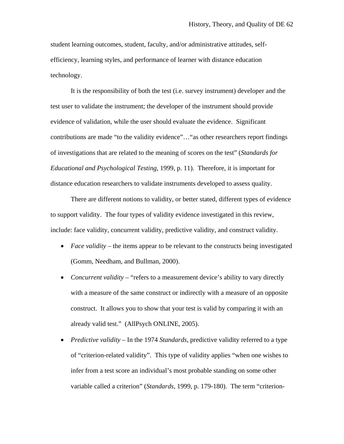student learning outcomes, student, faculty, and/or administrative attitudes, selfefficiency, learning styles, and performance of learner with distance education technology.

 It is the responsibility of both the test (i.e. survey instrument) developer and the test user to validate the instrument; the developer of the instrument should provide evidence of validation, while the user should evaluate the evidence. Significant contributions are made "to the validity evidence"…"as other researchers report findings of investigations that are related to the meaning of scores on the test" (*Standards for Educational and Psychological Testing,* 1999, p. 11). Therefore, it is important for distance education researchers to validate instruments developed to assess quality.

 There are different notions to validity, or better stated, different types of evidence to support validity. The four types of validity evidence investigated in this review, include: face validity, concurrent validity, predictive validity, and construct validity.

- *Face validity* the items appear to be relevant to the constructs being investigated (Gomm, Needham, and Bullman, 2000).
- *Concurrent validity* "refers to a measurement device's ability to vary directly with a measure of the same construct or indirectly with a measure of an opposite construct. It allows you to show that your test is valid by comparing it with an already valid test." (AllPsych ONLINE, 2005).
- *Predictive validity* In the 1974 *Standards*, predictive validity referred to a type of "criterion-related validity". This type of validity applies "when one wishes to infer from a test score an individual's most probable standing on some other variable called a criterion" (*Standards*, 1999, p. 179-180). The term "criterion-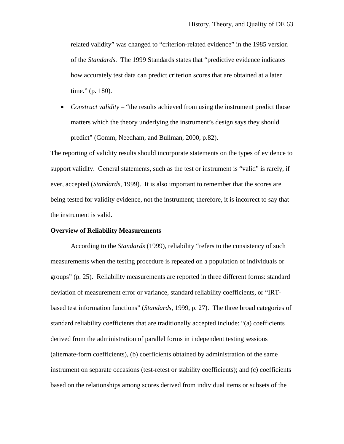related validity" was changed to "criterion-related evidence" in the 1985 version of the *Standards*. The 1999 Standards states that "predictive evidence indicates how accurately test data can predict criterion scores that are obtained at a later time." (p. 180).

• *Construct validity* – "the results achieved from using the instrument predict those matters which the theory underlying the instrument's design says they should predict" (Gomm, Needham, and Bullman, 2000, p.82).

The reporting of validity results should incorporate statements on the types of evidence to support validity. General statements, such as the test or instrument is "valid" is rarely, if ever, accepted (*Standards*, 1999). It is also important to remember that the scores are being tested for validity evidence, not the instrument; therefore, it is incorrect to say that the instrument is valid.

#### **Overview of Reliability Measurements**

According to the *Standards* (1999), reliability "refers to the consistency of such measurements when the testing procedure is repeated on a population of individuals or groups" (p. 25). Reliability measurements are reported in three different forms: standard deviation of measurement error or variance, standard reliability coefficients, or "IRTbased test information functions" (*Standards*, 1999, p. 27). The three broad categories of standard reliability coefficients that are traditionally accepted include: "(a) coefficients derived from the administration of parallel forms in independent testing sessions (alternate-form coefficients), (b) coefficients obtained by administration of the same instrument on separate occasions (test-retest or stability coefficients); and (c) coefficients based on the relationships among scores derived from individual items or subsets of the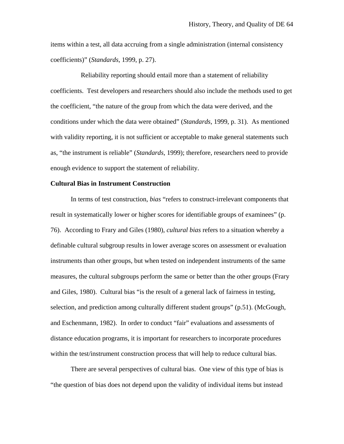items within a test, all data accruing from a single administration (internal consistency coefficients)" (*Standards*, 1999, p. 27).

 Reliability reporting should entail more than a statement of reliability coefficients. Test developers and researchers should also include the methods used to get the coefficient, "the nature of the group from which the data were derived, and the conditions under which the data were obtained" (*Standards*, 1999, p. 31). As mentioned with validity reporting, it is not sufficient or acceptable to make general statements such as, "the instrument is reliable" (*Standards*, 1999); therefore, researchers need to provide enough evidence to support the statement of reliability.

## **Cultural Bias in Instrument Construction**

 In terms of test construction, *bias* "refers to construct-irrelevant components that result in systematically lower or higher scores for identifiable groups of examinees" (p. 76). According to Frary and Giles (1980), *cultural bias* refers to a situation whereby a definable cultural subgroup results in lower average scores on assessment or evaluation instruments than other groups, but when tested on independent instruments of the same measures, the cultural subgroups perform the same or better than the other groups (Frary and Giles, 1980). Cultural bias "is the result of a general lack of fairness in testing, selection, and prediction among culturally different student groups" (p.51). (McGough, and Eschenmann, 1982). In order to conduct "fair" evaluations and assessments of distance education programs, it is important for researchers to incorporate procedures within the test/instrument construction process that will help to reduce cultural bias.

 There are several perspectives of cultural bias. One view of this type of bias is "the question of bias does not depend upon the validity of individual items but instead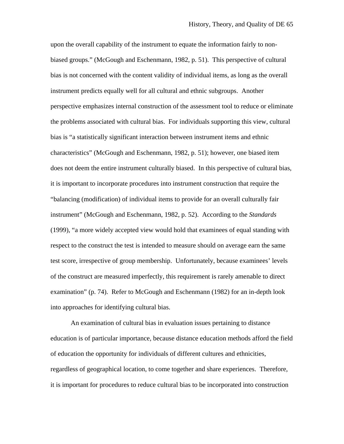upon the overall capability of the instrument to equate the information fairly to nonbiased groups." (McGough and Eschenmann, 1982, p. 51). This perspective of cultural bias is not concerned with the content validity of individual items, as long as the overall instrument predicts equally well for all cultural and ethnic subgroups. Another perspective emphasizes internal construction of the assessment tool to reduce or eliminate the problems associated with cultural bias. For individuals supporting this view, cultural bias is "a statistically significant interaction between instrument items and ethnic characteristics" (McGough and Eschenmann, 1982, p. 51); however, one biased item does not deem the entire instrument culturally biased. In this perspective of cultural bias, it is important to incorporate procedures into instrument construction that require the "balancing (modification) of individual items to provide for an overall culturally fair instrument" (McGough and Eschenmann, 1982, p. 52). According to the *Standards* (1999), "a more widely accepted view would hold that examinees of equal standing with respect to the construct the test is intended to measure should on average earn the same test score, irrespective of group membership. Unfortunately, because examinees' levels of the construct are measured imperfectly, this requirement is rarely amenable to direct examination" (p. 74). Refer to McGough and Eschenmann (1982) for an in-depth look into approaches for identifying cultural bias.

An examination of cultural bias in evaluation issues pertaining to distance education is of particular importance, because distance education methods afford the field of education the opportunity for individuals of different cultures and ethnicities, regardless of geographical location, to come together and share experiences. Therefore, it is important for procedures to reduce cultural bias to be incorporated into construction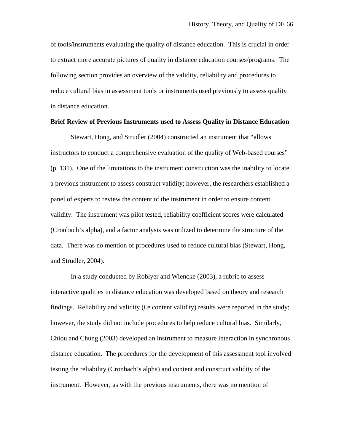of tools/instruments evaluating the quality of distance education. This is crucial in order to extract more accurate pictures of quality in distance education courses/programs. The following section provides an overview of the validity, reliability and procedures to reduce cultural bias in assessment tools or instruments used previously to assess quality in distance education.

#### **Brief Review of Previous Instruments used to Assess Quality in Distance Education**

Stewart, Hong, and Strudler (2004) constructed an instrument that "allows instructors to conduct a comprehensive evaluation of the quality of Web-based courses" (p. 131). One of the limitations to the instrument construction was the inability to locate a previous instrument to assess construct validity; however, the researchers established a panel of experts to review the content of the instrument in order to ensure content validity. The instrument was pilot tested, reliability coefficient scores were calculated (Cronbach's alpha), and a factor analysis was utilized to determine the structure of the data. There was no mention of procedures used to reduce cultural bias (Stewart, Hong, and Strudler, 2004).

In a study conducted by Roblyer and Wiencke (2003), a rubric to assess interactive qualities in distance education was developed based on theory and research findings. Reliability and validity (i.e content validity) results were reported in the study; however, the study did not include procedures to help reduce cultural bias. Similarly, Chiou and Chung (2003) developed an instrument to measure interaction in synchronous distance education. The procedures for the development of this assessment tool involved testing the reliability (Cronbach's alpha) and content and construct validity of the instrument. However, as with the previous instruments, there was no mention of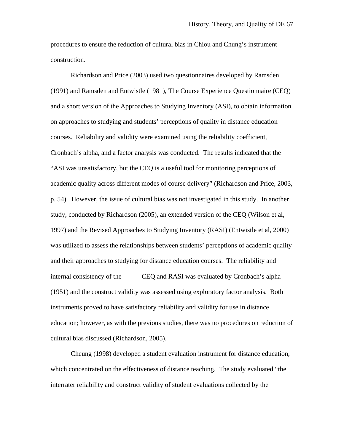procedures to ensure the reduction of cultural bias in Chiou and Chung's instrument construction.

Richardson and Price (2003) used two questionnaires developed by Ramsden (1991) and Ramsden and Entwistle (1981), The Course Experience Questionnaire (CEQ) and a short version of the Approaches to Studying Inventory (ASI), to obtain information on approaches to studying and students' perceptions of quality in distance education courses. Reliability and validity were examined using the reliability coefficient, Cronbach's alpha, and a factor analysis was conducted. The results indicated that the "ASI was unsatisfactory, but the CEQ is a useful tool for monitoring perceptions of academic quality across different modes of course delivery" (Richardson and Price, 2003, p. 54). However, the issue of cultural bias was not investigated in this study. In another study, conducted by Richardson (2005), an extended version of the CEQ (Wilson et al, 1997) and the Revised Approaches to Studying Inventory (RASI) (Entwistle et al, 2000) was utilized to assess the relationships between students' perceptions of academic quality and their approaches to studying for distance education courses. The reliability and internal consistency of the CEQ and RASI was evaluated by Cronbach's alpha (1951) and the construct validity was assessed using exploratory factor analysis. Both instruments proved to have satisfactory reliability and validity for use in distance education; however, as with the previous studies, there was no procedures on reduction of cultural bias discussed (Richardson, 2005).

 Cheung (1998) developed a student evaluation instrument for distance education, which concentrated on the effectiveness of distance teaching. The study evaluated "the interrater reliability and construct validity of student evaluations collected by the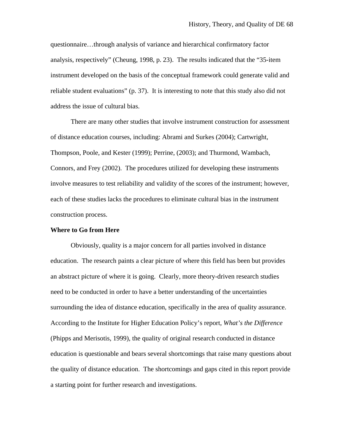questionnaire…through analysis of variance and hierarchical confirmatory factor analysis, respectively" (Cheung, 1998, p. 23). The results indicated that the "35-item instrument developed on the basis of the conceptual framework could generate valid and reliable student evaluations" (p. 37). It is interesting to note that this study also did not address the issue of cultural bias.

 There are many other studies that involve instrument construction for assessment of distance education courses, including: Abrami and Surkes (2004); Cartwright, Thompson, Poole, and Kester (1999); Perrine, (2003); and Thurmond, Wambach, Connors, and Frey (2002). The procedures utilized for developing these instruments involve measures to test reliability and validity of the scores of the instrument; however, each of these studies lacks the procedures to eliminate cultural bias in the instrument construction process.

#### **Where to Go from Here**

Obviously, quality is a major concern for all parties involved in distance education. The research paints a clear picture of where this field has been but provides an abstract picture of where it is going. Clearly, more theory-driven research studies need to be conducted in order to have a better understanding of the uncertainties surrounding the idea of distance education, specifically in the area of quality assurance. According to the Institute for Higher Education Policy's report, *What's the Difference* (Phipps and Merisotis, 1999), the quality of original research conducted in distance education is questionable and bears several shortcomings that raise many questions about the quality of distance education. The shortcomings and gaps cited in this report provide a starting point for further research and investigations.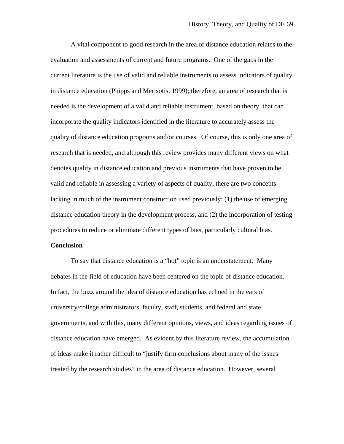A vital component to good research in the area of distance education relates to the evaluation and assessments of current and future programs. One of the gaps in the current literature is the use of valid and reliable instruments to assess indicators of quality in distance education (Phipps and Merisotis, 1999); therefore, an area of research that is needed is the development of a valid and reliable instrument, based on theory, that can incorporate the quality indicators identified in the literature to accurately assess the quality of distance education programs and/or courses. Of course, this is only one area of research that is needed, and although this review provides many different views on what denotes quality in distance education and previous instruments that have proven to be valid and reliable in assessing a variety of aspects of quality, there are two concepts lacking in much of the instrument construction used previously: (1) the use of emerging distance education theory in the development process, and (2) the incorporation of testing procedures to reduce or eliminate different types of bias, particularly cultural bias.

#### **Conclusion**

 To say that distance education is a "hot" topic is an understatement. Many debates in the field of education have been centered on the topic of distance education. In fact, the buzz around the idea of distance education has echoed in the ears of university/college administrators, faculty, staff, students, and federal and state governments, and with this, many different opinions, views, and ideas regarding issues of distance education have emerged. As evident by this literature review, the accumulation of ideas make it rather difficult to "justify firm conclusions about many of the issues treated by the research studies" in the area of distance education. However, several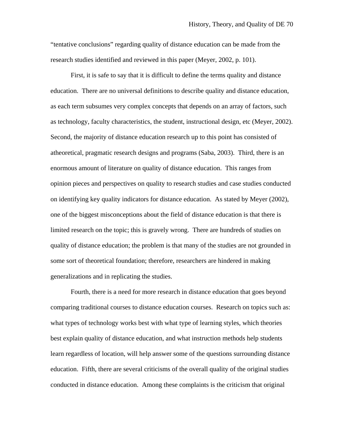"tentative conclusions" regarding quality of distance education can be made from the research studies identified and reviewed in this paper (Meyer, 2002, p. 101).

 First, it is safe to say that it is difficult to define the terms quality and distance education. There are no universal definitions to describe quality and distance education, as each term subsumes very complex concepts that depends on an array of factors, such as technology, faculty characteristics, the student, instructional design, etc (Meyer, 2002). Second, the majority of distance education research up to this point has consisted of atheoretical, pragmatic research designs and programs (Saba, 2003). Third, there is an enormous amount of literature on quality of distance education. This ranges from opinion pieces and perspectives on quality to research studies and case studies conducted on identifying key quality indicators for distance education. As stated by Meyer (2002), one of the biggest misconceptions about the field of distance education is that there is limited research on the topic; this is gravely wrong. There are hundreds of studies on quality of distance education; the problem is that many of the studies are not grounded in some sort of theoretical foundation; therefore, researchers are hindered in making generalizations and in replicating the studies.

Fourth, there is a need for more research in distance education that goes beyond comparing traditional courses to distance education courses. Research on topics such as: what types of technology works best with what type of learning styles, which theories best explain quality of distance education, and what instruction methods help students learn regardless of location, will help answer some of the questions surrounding distance education. Fifth, there are several criticisms of the overall quality of the original studies conducted in distance education. Among these complaints is the criticism that original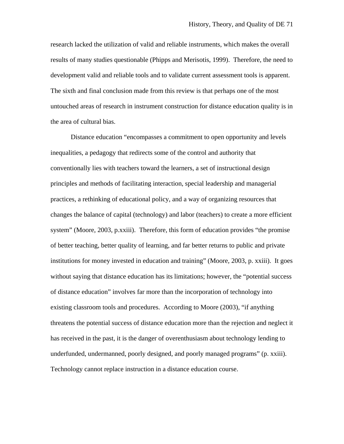research lacked the utilization of valid and reliable instruments, which makes the overall results of many studies questionable (Phipps and Merisotis, 1999). Therefore, the need to development valid and reliable tools and to validate current assessment tools is apparent. The sixth and final conclusion made from this review is that perhaps one of the most untouched areas of research in instrument construction for distance education quality is in the area of cultural bias.

 Distance education "encompasses a commitment to open opportunity and levels inequalities, a pedagogy that redirects some of the control and authority that conventionally lies with teachers toward the learners, a set of instructional design principles and methods of facilitating interaction, special leadership and managerial practices, a rethinking of educational policy, and a way of organizing resources that changes the balance of capital (technology) and labor (teachers) to create a more efficient system" (Moore, 2003, p.xxiii). Therefore, this form of education provides "the promise of better teaching, better quality of learning, and far better returns to public and private institutions for money invested in education and training" (Moore, 2003, p. xxiii). It goes without saying that distance education has its limitations; however, the "potential success of distance education" involves far more than the incorporation of technology into existing classroom tools and procedures. According to Moore (2003), "if anything threatens the potential success of distance education more than the rejection and neglect it has received in the past, it is the danger of overenthusiasm about technology lending to underfunded, undermanned, poorly designed, and poorly managed programs" (p. xxiii). Technology cannot replace instruction in a distance education course.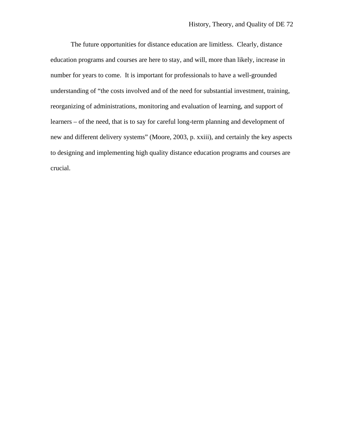The future opportunities for distance education are limitless. Clearly, distance education programs and courses are here to stay, and will, more than likely, increase in number for years to come. It is important for professionals to have a well-grounded understanding of "the costs involved and of the need for substantial investment, training, reorganizing of administrations, monitoring and evaluation of learning, and support of learners – of the need, that is to say for careful long-term planning and development of new and different delivery systems" (Moore, 2003, p. xxiii), and certainly the key aspects to designing and implementing high quality distance education programs and courses are crucial.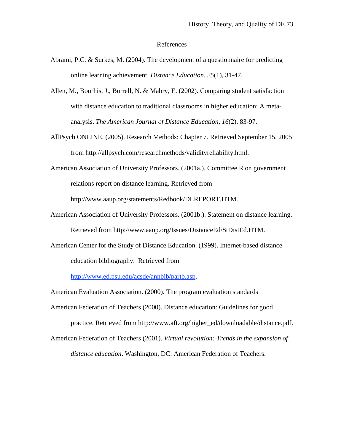## References

- Abrami, P.C. & Surkes, M. (2004). The development of a questionnaire for predicting online learning achievement. *Distance Education, 25*(1), 31-47.
- Allen, M., Bourhis, J., Burrell, N. & Mabry, E. (2002). Comparing student satisfaction with distance education to traditional classrooms in higher education: A metaanalysis. *The American Journal of Distance Education, 16*(2), 83-97.
- AllPsych ONLINE. (2005). Research Methods: Chapter 7. Retrieved September 15, 2005 from http://allpsych.com/researchmethods/validityreliability.html.
- American Association of University Professors. (2001a.). Committee R on government relations report on distance learning. Retrieved from

http://www.aaup.org/statements/Redbook/DLREPORT.HTM.

- American Association of University Professors. (2001b.). Statement on distance learning. Retrieved from http://www.aaup.org/Issues/DistanceEd/StDistEd.HTM.
- American Center for the Study of Distance Education. (1999). Internet-based distance education bibliography. Retrieved from

http://www.ed.psu.edu/acsde/annbib/partb.asp.

American Evaluation Association. (2000). The program evaluation standards

- American Federation of Teachers (2000). Distance education: Guidelines for good practice. Retrieved from http://www.aft.org/higher\_ed/downloadable/distance.pdf.
- American Federation of Teachers (2001). *Virtual revolution: Trends in the expansion of distance education*. Washington, DC: American Federation of Teachers.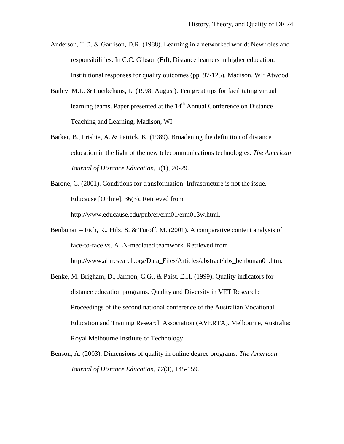- Anderson, T.D. & Garrison, D.R. (1988). Learning in a networked world: New roles and responsibilities. In C.C. Gibson (Ed), Distance learners in higher education: Institutional responses for quality outcomes (pp. 97-125). Madison, WI: Atwood.
- Bailey, M.L. & Luetkehans, L. (1998, August). Ten great tips for facilitating virtual learning teams. Paper presented at the  $14<sup>th</sup>$  Annual Conference on Distance Teaching and Learning, Madison, WI.
- Barker, B., Frisbie, A. & Patrick, K. (1989). Broadening the definition of distance education in the light of the new telecommunications technologies. *The American Journal of Distance Education, 3*(1), 20-29.
- Barone, C. (2001). Conditions for transformation: Infrastructure is not the issue. Educause [Online], 36(3). Retrieved from http://www.educause.edu/pub/er/erm01/erm013w.html.
- Benbunan Fich, R., Hilz, S. & Turoff, M. (2001). A comparative content analysis of face-to-face vs. ALN-mediated teamwork. Retrieved from http://www.alnresearch.org/Data\_Files/Articles/abstract/abs\_benbunan01.htm.
- Benke, M. Brigham, D., Jarmon, C.G., & Paist, E.H. (1999). Quality indicators for distance education programs. Quality and Diversity in VET Research: Proceedings of the second national conference of the Australian Vocational Education and Training Research Association (AVERTA). Melbourne, Australia: Royal Melbourne Institute of Technology.
- Benson, A. (2003). Dimensions of quality in online degree programs. *The American Journal of Distance Education, 17*(3), 145-159.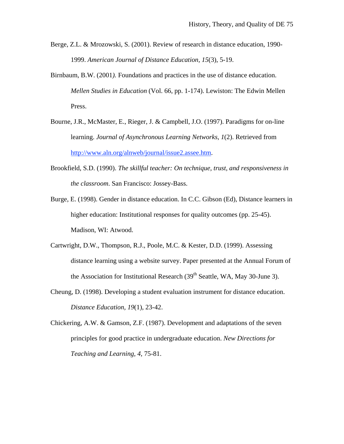- Berge, Z.L. & Mrozowski, S. (2001). Review of research in distance education, 1990- 1999. *American Journal of Distance Education, 15*(3), 5-19.
- Birnbaum, B.W. (2001*).* Foundations and practices in the use of distance education. *Mellen Studies in Education* (Vol. 66, pp. 1-174). Lewiston: The Edwin Mellen Press.
- Bourne, J.R., McMaster, E., Rieger, J. & Campbell, J.O. (1997). Paradigms for on-line learning. *Journal of Asynchronous Learning Networks*, *1*(2). Retrieved from http://www.aln.org/alnweb/journal/issue2.assee.htm.
- Brookfield, S.D. (1990). *The skillful teacher: On technique, trust, and responsiveness in the classroom*. San Francisco: Jossey-Bass.
- Burge, E. (1998). Gender in distance education. In C.C. Gibson (Ed), Distance learners in higher education: Institutional responses for quality outcomes (pp. 25-45). Madison, WI: Atwood.
- Cartwright, D.W., Thompson, R.J., Poole, M.C. & Kester, D.D. (1999). Assessing distance learning using a website survey. Paper presented at the Annual Forum of the Association for Institutional Research  $(39<sup>th</sup>$  Seattle, WA, May 30-June 3).
- Cheung, D. (1998). Developing a student evaluation instrument for distance education. *Distance Education, 19*(1), 23-42.

Chickering, A.W. & Gamson, Z.F. (1987). Development and adaptations of the seven principles for good practice in undergraduate education. *New Directions for Teaching and Learning, 4*, 75-81.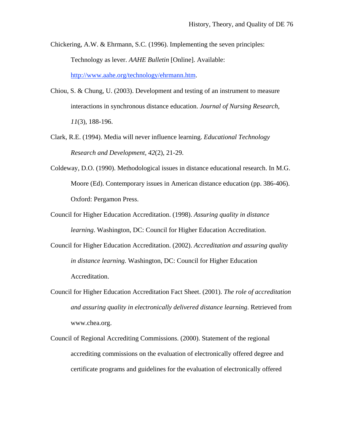- Chickering, A.W. & Ehrmann, S.C. (1996). Implementing the seven principles: Technology as lever. *AAHE Bulletin* [Online]. Available: http://www.aahe.org/technology/ehrmann.htm.
- Chiou, S. & Chung, U. (2003). Development and testing of an instrument to measure interactions in synchronous distance education. *Journal of Nursing Research, 11*(3), 188-196.
- Clark, R.E. (1994). Media will never influence learning. *Educational Technology Research and Development, 42*(2), 21-29.
- Coldeway, D.O. (1990). Methodological issues in distance educational research. In M.G. Moore (Ed). Contemporary issues in American distance education (pp. 386-406). Oxford: Pergamon Press.
- Council for Higher Education Accreditation. (1998). *Assuring quality in distance learning*. Washington, DC: Council for Higher Education Accreditation.
- Council for Higher Education Accreditation. (2002). *Accreditation and assuring quality in distance learning.* Washington, DC: Council for Higher Education Accreditation.
- Council for Higher Education Accreditation Fact Sheet. (2001). *The role of accreditation and assuring quality in electronically delivered distance learning*. Retrieved from www.chea.org.
- Council of Regional Accrediting Commissions. (2000). Statement of the regional accrediting commissions on the evaluation of electronically offered degree and certificate programs and guidelines for the evaluation of electronically offered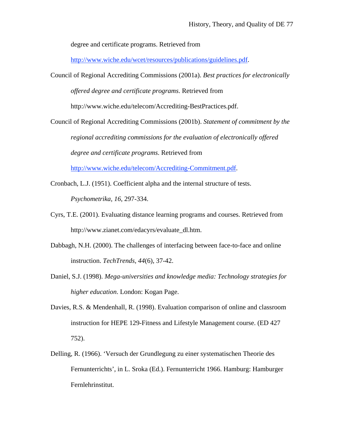degree and certificate programs. Retrieved from

http://www.wiche.edu/wcet/resources/publications/guidelines.pdf.

Council of Regional Accrediting Commissions (2001a). *Best practices for electronically* 

*offered degree and certificate programs*. Retrieved from

http://www.wiche.edu/telecom/Accrediting-BestPractices.pdf.

Council of Regional Accrediting Commissions (2001b). *Statement of commitment by the regional accrediting commissions for the evaluation of electronically offered degree and certificate programs*. Retrieved from

http://www.wiche.edu/telecom/Accrediting-Commitment.pdf.

- Cronbach, L.J. (1951). Coefficient alpha and the internal structure of tests. *Psychometrika, 16*, 297-334.
- Cyrs, T.E. (2001). Evaluating distance learning programs and courses. Retrieved from http://www.zianet.com/edacyrs/evaluate\_dl.htm.
- Dabbagh, N.H. (2000). The challenges of interfacing between face-to-face and online instruction. *TechTrends, 44*(6), 37-42.
- Daniel, S.J. (1998). *Mega-universities and knowledge media: Technology strategies for higher education*. London: Kogan Page.
- Davies, R.S. & Mendenhall, R. (1998). Evaluation comparison of online and classroom instruction for HEPE 129-Fitness and Lifestyle Management course. (ED 427 752).
- Delling, R. (1966). 'Versuch der Grundlegung zu einer systematischen Theorie des Fernunterrichts', in L. Sroka (Ed.). Fernunterricht 1966. Hamburg: Hamburger Fernlehrinstitut.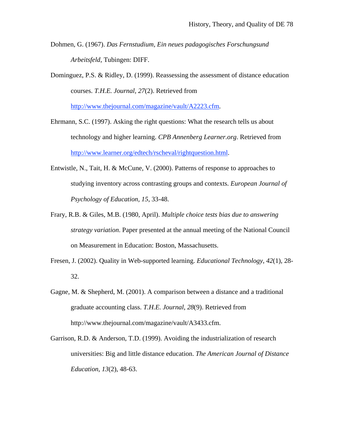Dohmen, G. (1967). *Das Fernstudium, Ein neues padagogisches Forschungsund Arbeitsfeld*, Tubingen: DIFF.

Dominguez, P.S. & Ridley, D. (1999). Reassessing the assessment of distance education courses. *T.H.E. Journal, 27*(2). Retrieved from

http://www.thejournal.com/magazine/vault/A2223.cfm.

- Ehrmann, S.C. (1997). Asking the right questions: What the research tells us about technology and higher learning. *CPB Annenberg Learner.org*. Retrieved from http://www.learner.org/edtech/rscheval/rightquestion.html.
- Entwistle, N., Tait, H. & McCune, V. (2000). Patterns of response to approaches to studying inventory across contrasting groups and contexts. *European Journal of Psychology of Education, 15*, 33-48.
- Frary, R.B. & Giles, M.B. (1980, April). *Multiple choice tests bias due to answering strategy variation*. Paper presented at the annual meeting of the National Council on Measurement in Education: Boston, Massachusetts.
- Fresen, J. (2002). Quality in Web-supported learning. *Educational Technology, 42*(1), 28- 32.
- Gagne, M. & Shepherd, M. (2001). A comparison between a distance and a traditional graduate accounting class. *T.H.E. Journal*, *28*(9). Retrieved from http://www.thejournal.com/magazine/vault/A3433.cfm.
- Garrison, R.D. & Anderson, T.D. (1999). Avoiding the industrialization of research universities: Big and little distance education. *The American Journal of Distance Education, 13*(2), 48-63.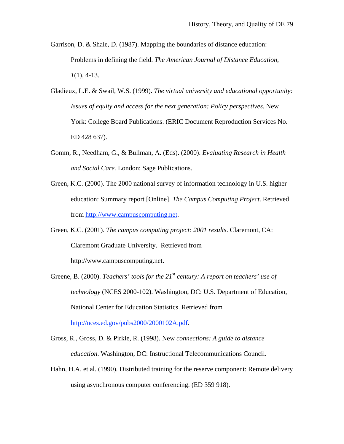- Garrison, D. & Shale, D. (1987). Mapping the boundaries of distance education: Problems in defining the field. *The American Journal of Distance Education*, *1*(1), 4-13.
- Gladieux, L.E. & Swail, W.S. (1999). *The virtual university and educational opportunity: Issues of equity and access for the next generation: Policy perspectives*. New York: College Board Publications. (ERIC Document Reproduction Services No. ED 428 637).
- Gomm, R., Needham, G., & Bullman, A. (Eds). (2000). *Evaluating Research in Health and Social Care.* London: Sage Publications.
- Green, K.C. (2000). The 2000 national survey of information technology in U.S. higher education: Summary report [Online]. *The Campus Computing Project*. Retrieved from http://www.campuscomputing.net.
- Green, K.C. (2001). *The campus computing project: 2001 results*. Claremont, CA: Claremont Graduate University. Retrieved from http://www.campuscomputing.net.
- Greene, B. (2000). *Teachers' tools for the 21<sup>st</sup> century: A report on teachers' use of technology* (NCES 2000-102). Washington, DC: U.S. Department of Education, National Center for Education Statistics. Retrieved from http://nces.ed.gov/pubs2000/2000102A.pdf.

Gross, R., Gross, D. & Pirkle, R. (1998). New *connections: A guide to distance education*. Washington, DC: Instructional Telecommunications Council.

Hahn, H.A. et al. (1990). Distributed training for the reserve component: Remote delivery using asynchronous computer conferencing. (ED 359 918).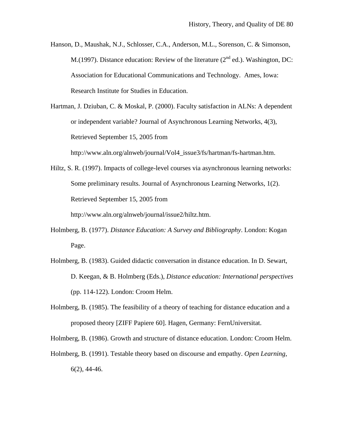Hanson, D., Maushak, N.J., Schlosser, C.A., Anderson, M.L., Sorenson, C. & Simonson, M.(1997). Distance education: Review of the literature ( $2<sup>nd</sup>$  ed.). Washington, DC: Association for Educational Communications and Technology. Ames, Iowa: Research Institute for Studies in Education.

Hartman, J. Dziuban, C. & Moskal, P. (2000). Faculty satisfaction in ALNs: A dependent or independent variable? Journal of Asynchronous Learning Networks, 4(3), Retrieved September 15, 2005 from http://www.aln.org/alnweb/journal/Vol4\_issue3/fs/hartman/fs-hartman.htm.

Hiltz, S. R. (1997). Impacts of college-level courses via asynchronous learning networks: Some preliminary results. Journal of Asynchronous Learning Networks, 1(2). Retrieved September 15, 2005 from

http://www.aln.org/alnweb/journal/issue2/hiltz.htm.

- Holmberg, B. (1977). *Distance Education: A Survey and Bibliography*. London: Kogan Page.
- Holmberg, B. (1983). Guided didactic conversation in distance education. In D. Sewart, D. Keegan, & B. Holmberg (Eds.), *Distance education: International perspectives*  (pp. 114-122). London: Croom Helm.
- Holmberg, B. (1985). The feasibility of a theory of teaching for distance education and a proposed theory [ZIFF Papiere 60]. Hagen, Germany: FernUniversitat.

Holmberg, B. (1986). Growth and structure of distance education. London: Croom Helm.

Holmberg, B. (1991). Testable theory based on discourse and empathy. *Open Learning*, 6(2), 44-46.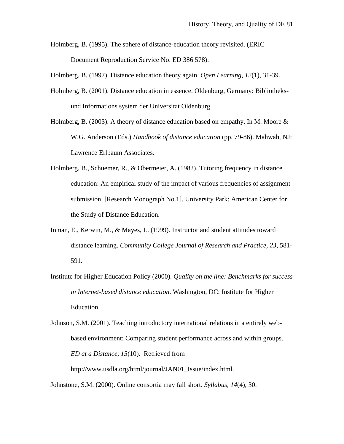Holmberg, B. (1995). The sphere of distance-education theory revisited. (ERIC Document Reproduction Service No. ED 386 578).

Holmberg, B. (1997). Distance education theory again. *Open Learning*, *12*(1), 31-39.

- Holmberg, B. (2001). Distance education in essence. Oldenburg, Germany: Bibliotheksund Informations system der Universitat Oldenburg.
- Holmberg, B. (2003). A theory of distance education based on empathy. In M. Moore  $\&$ W.G. Anderson (Eds.) *Handbook of distance education* (pp. 79-86). Mahwah, NJ: Lawrence Erlbaum Associates.
- Holmberg, B., Schuemer, R., & Obermeier, A. (1982). Tutoring frequency in distance education: An empirical study of the impact of various frequencies of assignment submission. [Research Monograph No.1]. University Park: American Center for the Study of Distance Education.
- Inman, E., Kerwin, M., & Mayes, L. (1999). Instructor and student attitudes toward distance learning. *Community College Journal of Research and Practice, 23*, 581- 591.
- Institute for Higher Education Policy (2000). *Quality on the line: Benchmarks for success in Internet-based distance education*. Washington, DC: Institute for Higher Education.

Johnson, S.M. (2001). Teaching introductory international relations in a entirely webbased environment: Comparing student performance across and within groups. *ED at a Distance, 15*(10). Retrieved from http://www.usdla.org/html/journal/JAN01\_Issue/index.html.

Johnstone, S.M. (2000). Online consortia may fall short. *Syllabus, 14*(4), 30.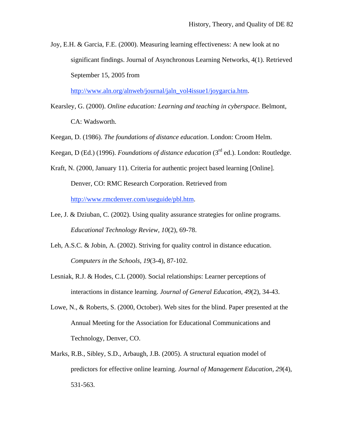Joy, E.H. & Garcia, F.E. (2000). Measuring learning effectiveness: A new look at no significant findings. Journal of Asynchronous Learning Networks, 4(1). Retrieved September 15, 2005 from

http://www.aln.org/alnweb/journal/jaln\_vol4issue1/joygarcia.htm.

- Kearsley, G. (2000). *Online education: Learning and teaching in cyberspace*. Belmont, CA: Wadsworth.
- Keegan, D. (1986). *The foundations of distance education*. London: Croom Helm.

Keegan, D (Ed.) (1996). *Foundations of distance education* (3rd ed.). London: Routledge.

Kraft, N. (2000, January 11). Criteria for authentic project based learning [Online]. Denver, CO: RMC Research Corporation. Retrieved from http://www.rmcdenver.com/useguide/pbl.htm.

- Lee, J. & Dziuban, C. (2002). Using quality assurance strategies for online programs. *Educational Technology Review, 10*(2), 69-78.
- Leh, A.S.C. & Jobin, A. (2002). Striving for quality control in distance education. *Computers in the Schools, 19*(3-4), 87-102.
- Lesniak, R.J. & Hodes, C.L (2000). Social relationships: Learner perceptions of interactions in distance learning. *Journal of General Education, 49*(2), 34-43.
- Lowe, N., & Roberts, S. (2000, October). Web sites for the blind. Paper presented at the Annual Meeting for the Association for Educational Communications and Technology, Denver, CO.
- Marks, R.B., Sibley, S.D., Arbaugh, J.B. (2005). A structural equation model of predictors for effective online learning. *Journal of Management Education, 29*(4), 531-563.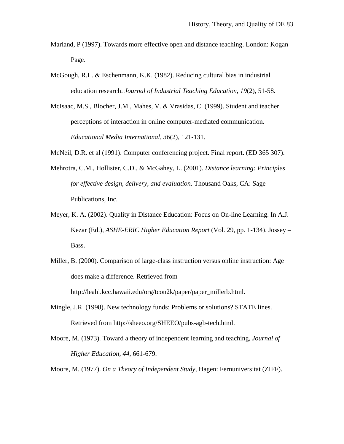- Marland, P (1997). Towards more effective open and distance teaching. London: Kogan Page.
- McGough, R.L. & Eschenmann, K.K. (1982). Reducing cultural bias in industrial education research. *Journal of Industrial Teaching Education, 19*(2), 51-58.
- McIsaac, M.S., Blocher, J.M., Mahes, V. & Vrasidas, C. (1999). Student and teacher perceptions of interaction in online computer-mediated communication. *Educational Media International, 36*(2), 121-131.
- McNeil, D.R. et al (1991). Computer conferencing project. Final report. (ED 365 307).
- Mehrotra, C.M., Hollister, C.D., & McGahey, L. (2001). *Distance learning: Principles for effective design, delivery, and evaluation*. Thousand Oaks, CA: Sage Publications, Inc.
- Meyer, K. A. (2002). Quality in Distance Education: Focus on On-line Learning. In A.J. Kezar (Ed.), *ASHE-ERIC Higher Education Report* (Vol. 29, pp. 1-134). Jossey – Bass.
- Miller, B. (2000). Comparison of large-class instruction versus online instruction: Age does make a difference. Retrieved from

http://leahi.kcc.hawaii.edu/org/tcon2k/paper/paper\_millerb.html.

- Mingle, J.R. (1998). New technology funds: Problems or solutions? STATE lines. Retrieved from http://sheeo.org/SHEEO/pubs-agb-tech.html.
- Moore, M. (1973). Toward a theory of independent learning and teaching, *Journal of Higher Education, 44*, 661-679.

Moore, M. (1977). *On a Theory of Independent Study*, Hagen: Fernuniversitat (ZIFF).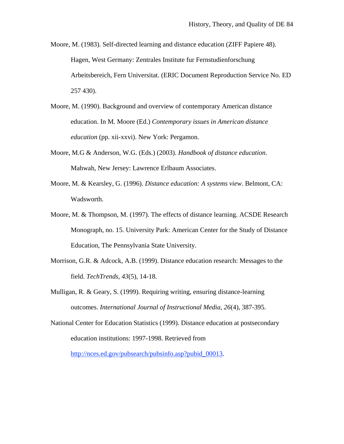Moore, M. (1983). Self-directed learning and distance education (ZIFF Papiere 48). Hagen, West Germany: Zentrales Institute fur Fernstudienforschung Arbeitsbereich, Fern Universitat. (ERIC Document Reproduction Service No. ED 257 430).

- Moore, M. (1990). Background and overview of contemporary American distance education. In M. Moore (Ed.) *Contemporary issues in American distance education* (pp. xii-xxvi). New York: Pergamon.
- Moore, M.G & Anderson, W.G. (Eds.) (2003). *Handbook of distance education*. Mahwah, New Jersey: Lawrence Erlbaum Associates.
- Moore, M. & Kearsley, G. (1996). *Distance education: A systems view*. Belmont, CA: Wadsworth.
- Moore, M. & Thompson, M. (1997). The effects of distance learning. ACSDE Research Monograph, no. 15. University Park: American Center for the Study of Distance Education, The Pennsylvania State University.
- Morrison, G.R. & Adcock, A.B. (1999). Distance education research: Messages to the field. *TechTrends, 43*(5), 14-18.
- Mulligan, R. & Geary, S. (1999). Requiring writing, ensuring distance-learning outcomes. *International Journal of Instructional Media, 26*(4), 387-395.
- National Center for Education Statistics (1999). Distance education at postsecondary education institutions: 1997-1998. Retrieved from

http://nces.ed.gov/pubsearch/pubsinfo.asp?pubid\_00013.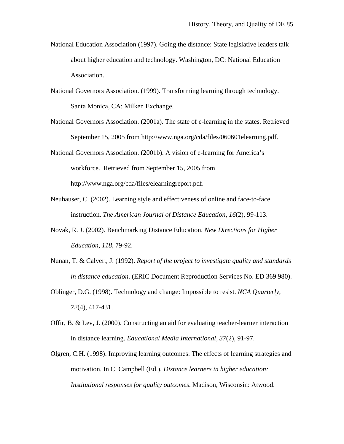- National Education Association (1997). Going the distance: State legislative leaders talk about higher education and technology. Washington, DC: National Education Association.
- National Governors Association. (1999). Transforming learning through technology. Santa Monica, CA: Milken Exchange.
- National Governors Association. (2001a). The state of e-learning in the states. Retrieved September 15, 2005 from http://www.nga.org/cda/files/060601elearning.pdf.
- National Governors Association. (2001b). A vision of e-learning for America's workforce. Retrieved from September 15, 2005 from http://www.nga.org/cda/files/elearningreport.pdf.
- Neuhauser, C. (2002). Learning style and effectiveness of online and face-to-face instruction. *The American Journal of Distance Education, 16*(2), 99-113.
- Novak, R. J. (2002). Benchmarking Distance Education. *New Directions for Higher Education*, *118*, 79-92.
- Nunan, T. & Calvert, J. (1992). *Report of the project to investigate quality and standards in distance education*. (ERIC Document Reproduction Services No. ED 369 980).
- Oblinger, D.G. (1998). Technology and change: Impossible to resist. *NCA Quarterly, 72*(4), 417-431.
- Offir, B. & Lev, J. (2000). Constructing an aid for evaluating teacher-learner interaction in distance learning. *Educational Media International, 37*(2), 91-97.
- Olgren, C.H. (1998). Improving learning outcomes: The effects of learning strategies and motivation. In C. Campbell (Ed.), *Distance learners in higher education: Institutional responses for quality outcomes*. Madison, Wisconsin: Atwood.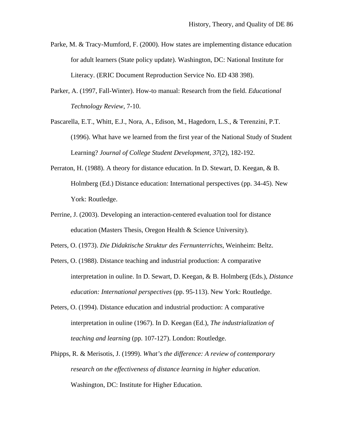- Parke, M. & Tracy-Mumford, F. (2000). How states are implementing distance education for adult learners (State policy update). Washington, DC: National Institute for Literacy. (ERIC Document Reproduction Service No. ED 438 398).
- Parker, A. (1997, Fall-Winter). How-to manual: Research from the field. *Educational Technology Review*, 7-10.
- Pascarella, E.T., Whitt, E.J., Nora, A., Edison, M., Hagedorn, L.S., & Terenzini, P.T. (1996). What have we learned from the first year of the National Study of Student Learning? *Journal of College Student Development, 37*(2), 182-192.
- Perraton, H. (1988). A theory for distance education. In D. Stewart, D. Keegan, & B. Holmberg (Ed.) Distance education: International perspectives (pp. 34-45). New York: Routledge.
- Perrine, J. (2003). Developing an interaction-centered evaluation tool for distance education (Masters Thesis, Oregon Health & Science University).
- Peters, O. (1973). *Die Didaktische Struktur des Fernunterrichts*, Weinheim: Beltz.
- Peters, O. (1988). Distance teaching and industrial production: A comparative interpretation in ouline. In D. Sewart, D. Keegan, & B. Holmberg (Eds.), *Distance education: International perspectives* (pp. 95-113). New York: Routledge.
- Peters, O. (1994). Distance education and industrial production: A comparative interpretation in ouline (1967). In D. Keegan (Ed.), *The industrialization of teaching and learning* (pp. 107-127). London: Routledge.
- Phipps, R. & Merisotis, J. (1999). *What's the difference: A review of contemporary research on the effectiveness of distance learning in higher education*. Washington, DC: Institute for Higher Education.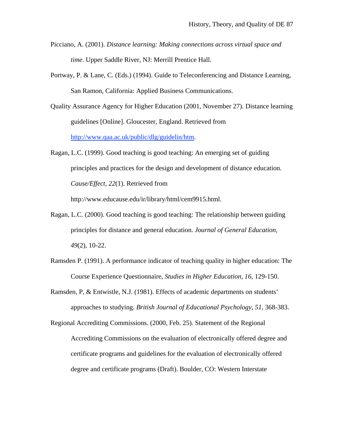- Picciano, A. (2001). *Distance learning: Making connections across virtual space and time*. Upper Saddle River, NJ: Merrill Prentice Hall.
- Portway, P. & Lane, C. (Eds.) (1994). Guide to Teleconferencing and Distance Learning, San Ramon, California: Applied Business Communications.
- Quality Assurance Agency for Higher Education (2001, November 27). Distance learning guidelines [Online]. Gloucester, England. Retrieved from http://www.qaa.ac.uk/public/dlg/guidelin/htm.
- Ragan, L.C. (1999). Good teaching is good teaching: An emerging set of guiding principles and practices for the design and development of distance education. *Cause/Effect, 22*(1). Retrieved from

http://www.educause.edu/ir/library/html/cem9915.html.

- Ragan, L.C. (2000). Good teaching is good teaching: The relationship between guiding principles for distance and general education. *Journal of General Education, 49*(2), 10-22.
- Ramsden P. (1991). A performance indicator of teaching quality in higher education: The Course Experience Questionnaire, *Studies in Higher Education, 16*, 129-150.
- Ramsden, P, & Entwistle, N.J. (1981). Effects of academic departments on students' approaches to studying. *British Journal of Educational Psychology, 51*, 368-383.

Regional Accrediting Commissions. (2000, Feb. 25). Statement of the Regional Accrediting Commissions on the evaluation of electronically offered degree and certificate programs and guidelines for the evaluation of electronically offered degree and certificate programs (Draft). Boulder, CO: Western Interstate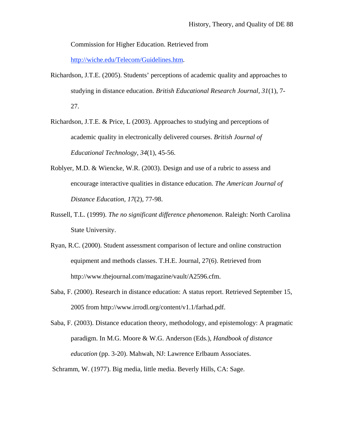Commission for Higher Education. Retrieved from

http://wiche.edu/Telecom/Guidelines.htm.

- Richardson, J.T.E. (2005). Students' perceptions of academic quality and approaches to studying in distance education. *British Educational Research Journal, 31*(1), 7- 27.
- Richardson, J.T.E. & Price, L (2003). Approaches to studying and perceptions of academic quality in electronically delivered courses. *British Journal of Educational Technology, 34*(1), 45-56.
- Roblyer, M.D. & Wiencke, W.R. (2003). Design and use of a rubric to assess and encourage interactive qualities in distance education. *The American Journal of Distance Education, 17*(2), 77-98.
- Russell, T.L. (1999). *The no significant difference phenomenon*. Raleigh: North Carolina State University.
- Ryan, R.C. (2000). Student assessment comparison of lecture and online construction equipment and methods classes. T.H.E. Journal, 27(6). Retrieved from http://www.thejournal.com/magazine/vault/A2596.cfm.
- Saba, F. (2000). Research in distance education: A status report. Retrieved September 15, 2005 from http://www.irrodl.org/content/v1.1/farhad.pdf.
- Saba, F. (2003). Distance education theory, methodology, and epistemology: A pragmatic paradigm. In M.G. Moore & W.G. Anderson (Eds.), *Handbook of distance education* (pp. 3-20). Mahwah, NJ: Lawrence Erlbaum Associates.
- Schramm, W. (1977). Big media, little media. Beverly Hills, CA: Sage.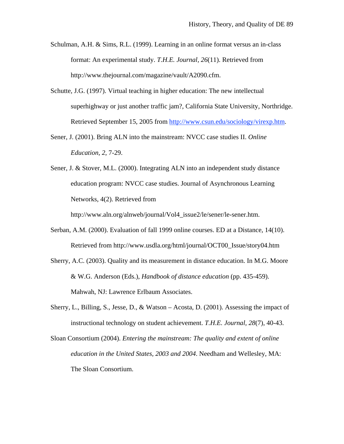- Schulman, A.H. & Sims, R.L. (1999). Learning in an online format versus an in-class format: An experimental study. *T.H.E. Journal, 26*(11). Retrieved from http://www.thejournal.com/magazine/vault/A2090.cfm.
- Schutte, J.G. (1997). Virtual teaching in higher education: The new intellectual superhighway or just another traffic jam?, California State University, Northridge. Retrieved September 15, 2005 from http://www.csun.edu/sociology/virexp.htm.
- Sener, J. (2001). Bring ALN into the mainstream: NVCC case studies II. *Online Education, 2*, 7-29.
- Sener, J. & Stover, M.L. (2000). Integrating ALN into an independent study distance education program: NVCC case studies. Journal of Asynchronous Learning Networks, 4(2). Retrieved from

http://www.aln.org/alnweb/journal/Vol4\_issue2/le/sener/le-sener.htm.

- Serban, A.M. (2000). Evaluation of fall 1999 online courses. ED at a Distance, 14(10). Retrieved from http://www.usdla.org/html/journal/OCT00\_Issue/story04.htm
- Sherry, A.C. (2003). Quality and its measurement in distance education. In M.G. Moore & W.G. Anderson (Eds.), *Handbook of distance education* (pp. 435-459). Mahwah, NJ: Lawrence Erlbaum Associates.
- Sherry, L., Billing, S., Jesse, D., & Watson Acosta, D. (2001). Assessing the impact of instructional technology on student achievement. *T.H.E. Journal, 28*(7), 40-43.
- Sloan Consortium (2004). *Entering the mainstream: The quality and extent of online education in the United States, 2003 and 2004*. Needham and Wellesley, MA: The Sloan Consortium.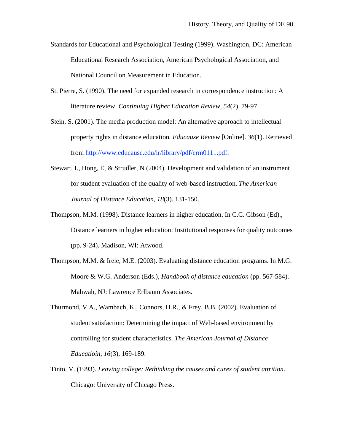- Standards for Educational and Psychological Testing (1999). Washington, DC: American Educational Research Association, American Psychological Association, and National Council on Measurement in Education.
- St. Pierre, S. (1990). The need for expanded research in correspondence instruction: A literature review. *Continuing Higher Education Review, 54*(2), 79-97.
- Stein, S. (2001). The media production model: An alternative approach to intellectual property rights in distance education*. Educause Review* [Online]. *36*(1). Retrieved from http://www.educause.edu/ir/library/pdf/erm0111.pdf.
- Stewart, I., Hong, E, & Strudler, N (2004). Development and validation of an instrument for student evaluation of the quality of web-based instruction. *The American Journal of Distance Education, 18*(3). 131-150.
- Thompson, M.M. (1998). Distance learners in higher education. In C.C. Gibson (Ed)., Distance learners in higher education: Institutional responses for quality outcomes (pp. 9-24). Madison, WI: Atwood.
- Thompson, M.M. & Irele, M.E. (2003). Evaluating distance education programs. In M.G. Moore & W.G. Anderson (Eds.), *Handbook of distance education* (pp. 567-584). Mahwah, NJ: Lawrence Erlbaum Associates.
- Thurmond, V.A., Wambach, K., Connors, H.R., & Frey, B.B. (2002). Evaluation of student satisfaction: Determining the impact of Web-based environment by controlling for student characteristics. *The American Journal of Distance Educatioin, 16*(3), 169-189.
- Tinto, V. (1993). *Leaving college: Rethinking the causes and cures of student attrition*. Chicago: University of Chicago Press.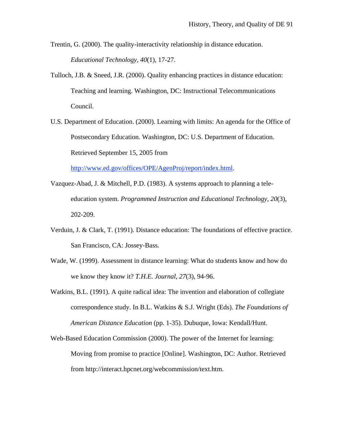Trentin, G. (2000). The quality-interactivity relationship in distance education. *Educational Technology, 40*(1), 17-27.

- Tulloch, J.B. & Sneed, J.R. (2000). Quality enhancing practices in distance education: Teaching and learning. Washington, DC: Instructional Telecommunications Council.
- U.S. Department of Education. (2000). Learning with limits: An agenda for the Office of Postsecondary Education. Washington, DC: U.S. Department of Education. Retrieved September 15, 2005 from

http://www.ed.gov/offices/OPE/AgenProj/report/index.html.

- Vazquez-Abad, J. & Mitchell, P.D. (1983). A systems approach to planning a teleeducation system. *Programmed Instruction and Educational Technology, 20*(3), 202-209.
- Verduin, J. & Clark, T. (1991). Distance education: The foundations of effective practice. San Francisco, CA: Jossey-Bass.
- Wade, W. (1999). Assessment in distance learning: What do students know and how do we know they know it? *T.H.E. Journal, 27*(3), 94-96.
- Watkins, B.L. (1991). A quite radical idea: The invention and elaboration of collegiate correspondence study. In B.L. Watkins & S.J. Wright (Eds). *The Foundations of American Distance Education* (pp. 1-35). Dubuque, Iowa: Kendall/Hunt.
- Web-Based Education Commission (2000). The power of the Internet for learning: Moving from promise to practice [Online]. Washington, DC: Author. Retrieved from http://interact.hpcnet.org/webcommission/text.htm.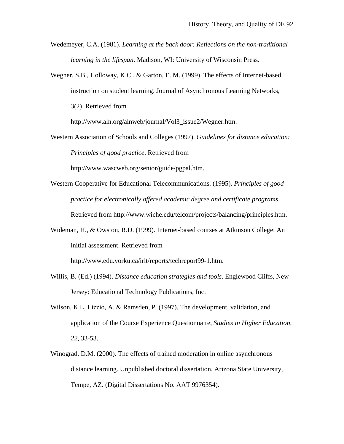- Wedemeyer, C.A. (1981). *Learning at the back door: Reflections on the non-traditional learning in the lifespan*. Madison, WI: University of Wisconsin Press.
- Wegner, S.B., Holloway, K.C., & Garton, E. M. (1999). The effects of Internet-based instruction on student learning. Journal of Asynchronous Learning Networks, 3(2). Retrieved from

http://www.aln.org/alnweb/journal/Vol3\_issue2/Wegner.htm.

Western Association of Schools and Colleges (1997). *Guidelines for distance education: Principles of good practice*. Retrieved from

http://www.wascweb.org/senior/guide/pgpal.htm.

- Western Cooperative for Educational Telecommunications. (1995). *Principles of good practice for electronically offered academic degree and certificate programs.* Retrieved from http://www.wiche.edu/telcom/projects/balancing/principles.htm.
- Wideman, H., & Owston, R.D. (1999). Internet-based courses at Atkinson College: An initial assessment. Retrieved from

http://www.edu.yorku.ca/irlt/reports/techreport99-1.htm.

- Willis, B. (Ed.) (1994). *Distance education strategies and tools*. Englewood Cliffs, New Jersey: Educational Technology Publications, Inc.
- Wilson, K.L, Lizzio, A. & Ramsden, P. (1997). The development, validation, and application of the Course Experience Questionnaire, *Studies in Higher Education, 22*, 33-53.
- Winograd, D.M. (2000). The effects of trained moderation in online asynchronous distance learning. Unpublished doctoral dissertation, Arizona State University, Tempe, AZ. (Digital Dissertations No. AAT 9976354).